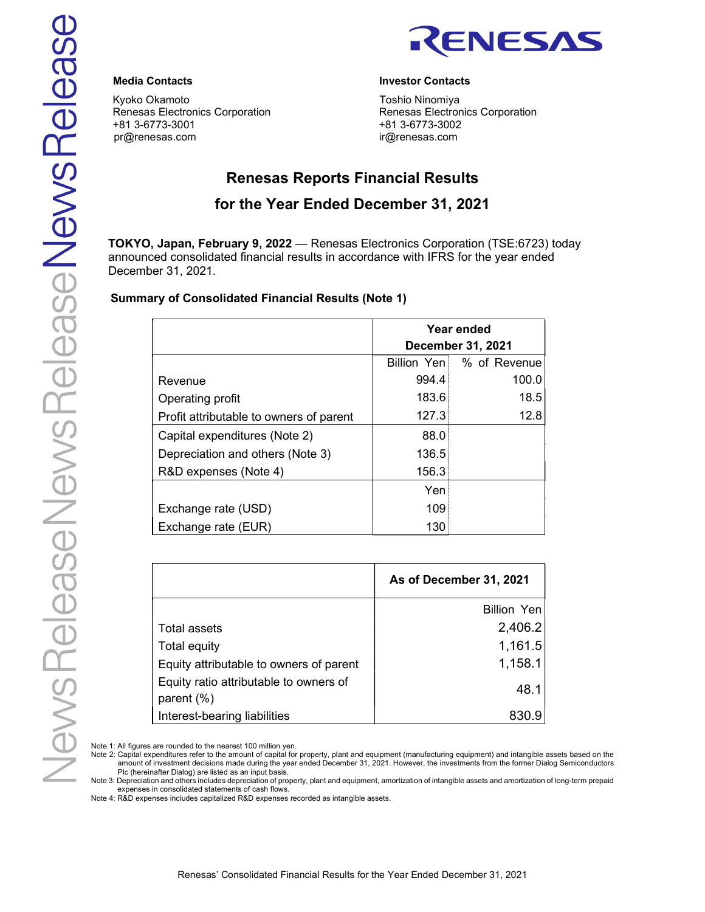

Kyoko Okamoto **Toshio Ninomiya** Renesas Electronics Corporation Renesas Electronics Corporation +81 3-6773-3001 +81 3-6773-3002 pr@renesas.com ir@renesas.com

# Media Contacts Investor Contacts

# Renesas Reports Financial Results

# for the Year Ended December 31, 2021

TOKYO, Japan, February 9, 2022 — Renesas Electronics Corporation (TSE:6723) today announced consolidated financial results in accordance with IFRS for the year ended December 31, 2021.

# Summary of Consolidated Financial Results (Note 1)

|                                         |             | Year ended<br><b>December 31, 2021</b> |
|-----------------------------------------|-------------|----------------------------------------|
|                                         | Billion Yen | % of Revenue                           |
| Revenue                                 | 994.4       | 100.0                                  |
| Operating profit                        | 183.6       | 18.5                                   |
| Profit attributable to owners of parent | 127.3       | 12.8                                   |
| Capital expenditures (Note 2)           | 88.0        |                                        |
| Depreciation and others (Note 3)        | 136.5       |                                        |
| R&D expenses (Note 4)                   | 156.3       |                                        |
|                                         | Yen         |                                        |
| Exchange rate (USD)                     | 109         |                                        |
| Exchange rate (EUR)                     | 130         |                                        |

|                                         | As of December 31, 2021 |
|-----------------------------------------|-------------------------|
|                                         | Billion Yen             |
| Total assets                            | 2,406.2                 |
| Total equity                            | 1,161.5                 |
| Equity attributable to owners of parent | 1,158.1                 |
| Equity ratio attributable to owners of  | 48.1                    |
| parent $(\%)$                           |                         |
| Interest-bearing liabilities            | 830.9                   |

Note 1: All figures are rounded to the nearest 100 million yen.

Note 2: Capital expenditures refer to the amount of capital for property, plant and equipment (manufacturing equipment) and intangible assets based on the amount of investment decisions made during the year ended December 31, 2021. However, the investments from the former Dialog Semiconductors Plc (hereinafter Dialog) are listed as an input basis.

Note 3: Depreciation and others includes depreciation of property, plant and equipment, amortization of intangible assets and amortization of long-term prepaid expenses in consolidated statements of cash flows.

Note 4: R&D expenses includes capitalized R&D expenses recorded as intangible assets.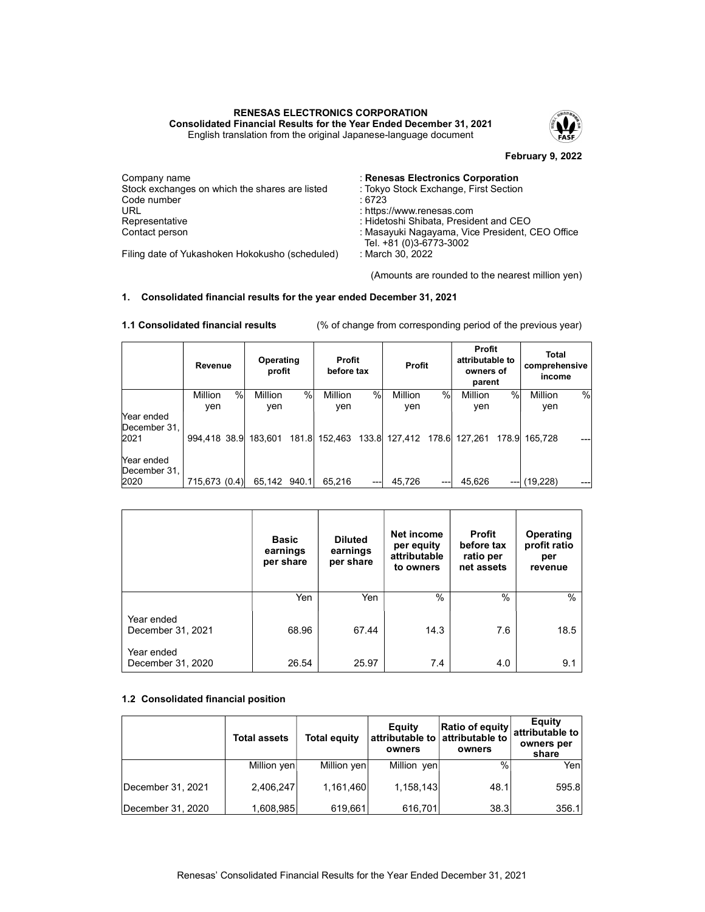#### RENESAS ELECTRONICS CORPORATION Consolidated Financial Results for the Year Ended December 31, 2021 English translation from the original Japanese-language document



February 9, 2022

| Company name                                    | : Renesas Electronics Corporation               |
|-------------------------------------------------|-------------------------------------------------|
| Stock exchanges on which the shares are listed  | : Tokyo Stock Exchange, First Section           |
| Code number                                     | : 6723                                          |
| URL                                             | : https://www.renesas.com                       |
| Representative                                  | : Hidetoshi Shibata, President and CEO          |
| Contact person                                  | : Masayuki Nagayama, Vice President, CEO Office |
|                                                 | Tel. +81 (0)3-6773-3002                         |
| Filing date of Yukashoken Hokokusho (scheduled) | : March 30, 2022                                |

(Amounts are rounded to the nearest million yen)

# 1. Consolidated financial results for the year ended December 31, 2021

|                                    | Revenue       |   | Operating<br>profit |       | Profit<br>before tax |      | <b>Profit</b>                       |   | <b>Profit</b><br>attributable to<br>owners of<br>parent |       | Total<br>comprehensive<br>income |      |
|------------------------------------|---------------|---|---------------------|-------|----------------------|------|-------------------------------------|---|---------------------------------------------------------|-------|----------------------------------|------|
|                                    | Million       | % | Million             | $\%$  | <b>Million</b>       | $\%$ | Million                             | % | <b>Million</b>                                          | %     | Million                          | $\%$ |
|                                    | ven           |   | yen                 |       | yen                  |      | yen                                 |   | yen                                                     |       | yen                              |      |
| Year ended<br>December 31,<br>2021 | 994,418 38.9  |   | 183.601             | 181.8 |                      |      | 152,463 133.8 127,412 178.6 127,261 |   |                                                         | 178.9 | 165.728                          | ---  |
| Year ended<br>December 31,<br>2020 | 715,673 (0.4) |   | 65,142 940.1        |       | 65,216               | ---  | 45.726                              |   | 45.626                                                  | ---   | (19,228)                         |      |

1.1 Consolidated financial results (% of change from corresponding period of the previous year)

|                                 | <b>Basic</b><br>earnings<br>per share | <b>Diluted</b><br>earnings<br>per share | Net income<br>per equity<br>attributable<br>to owners | <b>Profit</b><br>before tax<br>ratio per<br>net assets | Operating<br>profit ratio<br>per<br>revenue |
|---------------------------------|---------------------------------------|-----------------------------------------|-------------------------------------------------------|--------------------------------------------------------|---------------------------------------------|
|                                 | Yen                                   | Yen                                     | $\%$                                                  | $\%$                                                   | $\frac{0}{0}$                               |
| Year ended<br>December 31, 2021 | 68.96                                 | 67.44                                   | 14.3                                                  | 7.6                                                    | 18.5                                        |
| Year ended<br>December 31, 2020 | 26.54                                 | 25.97                                   | 7.4                                                   | 4.0                                                    | 9.1                                         |

### 1.2 Consolidated financial position

|                   | <b>Total assets</b> | <b>Total equity</b> | Equity<br>owners | Ratio of equity<br>attributable to attributable to<br>owners | Equity<br>attributable to<br>owners per<br>share |
|-------------------|---------------------|---------------------|------------------|--------------------------------------------------------------|--------------------------------------------------|
|                   | Million yen         | Million yen         | Million yen      | $\%$                                                         | Yenl                                             |
| December 31, 2021 | 2,406,247           | 1,161,460           | 1,158,143        | 48.1                                                         | 595.8                                            |
| December 31, 2020 | 1,608,985           | 619,661             | 616,701          | 38.3                                                         | 356.1                                            |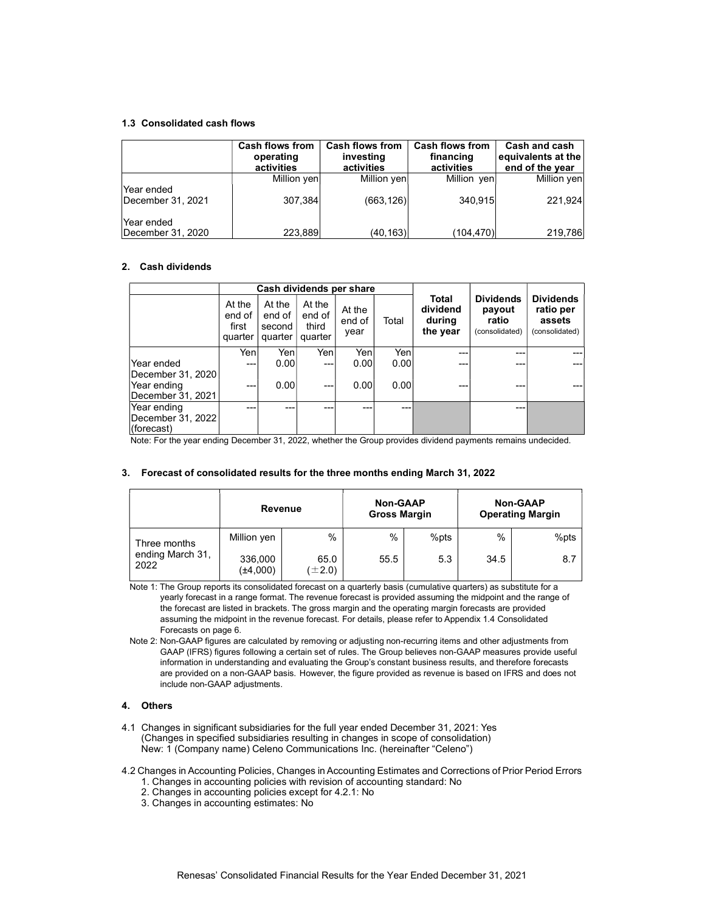#### 1.3 Consolidated cash flows

|                                 | <b>Cash flows from</b><br>operating<br>activities | <b>Cash flows from</b><br>investing<br>activities | <b>Cash flows from</b><br>financing<br>activities | Cash and cash<br>equivalents at the<br>end of the year |
|---------------------------------|---------------------------------------------------|---------------------------------------------------|---------------------------------------------------|--------------------------------------------------------|
|                                 | Million yen                                       | Million yen                                       | Million yen                                       | Million yen                                            |
| Year ended<br>December 31, 2021 | 307,384                                           | (663, 126)                                        | 340,915                                           | 221,924                                                |
| Year ended<br>December 31, 2020 | 223,889                                           | (40,163)                                          | (104, 470)                                        | 219,786                                                |

#### 2. Cash dividends

|                                                       | Cash dividends per share             |                                       |                                      |                          |       |                                         |                                                       |                                                           |
|-------------------------------------------------------|--------------------------------------|---------------------------------------|--------------------------------------|--------------------------|-------|-----------------------------------------|-------------------------------------------------------|-----------------------------------------------------------|
|                                                       | At the<br>end of<br>first<br>quarter | At the<br>end of<br>second<br>quarter | At the<br>end of<br>third<br>quarter | At the<br>end of<br>year | Total | Total<br>dividend<br>during<br>the year | <b>Dividends</b><br>payout<br>ratio<br>(consolidated) | <b>Dividends</b><br>ratio per<br>assets<br>(consolidated) |
|                                                       | Yenl                                 | Yenl                                  | Yenl                                 | Yen                      | Yenl  | --                                      | ---                                                   |                                                           |
| Year ended                                            | ---                                  | 0.00                                  | ---                                  | 0.00                     | 0.00  | ---                                     | ---                                                   |                                                           |
| December 31, 2020<br>Year ending<br>December 31, 2021 | ---                                  | 0.00                                  | ---                                  | 0.00                     | 0.001 |                                         | ---                                                   |                                                           |
| Year ending                                           | ---                                  | ---                                   |                                      |                          | ---   |                                         | ---                                                   |                                                           |
| December 31, 2022<br>(forecast)                       |                                      |                                       |                                      |                          |       |                                         |                                                       |                                                           |
| $\cdots$ $\cdots$                                     |                                      | $\sim$ $\sim$ $\sim$                  |                                      | $\sim$                   | . .   | $\cdots$                                |                                                       |                                                           |

Note: For the year ending December 31, 2022, whether the Group provides dividend payments remains undecided.

#### 3. Forecast of consolidated results for the three months ending March 31, 2022

|                          | Revenue                  |                     | <b>Non-GAAP</b><br><b>Gross Margin</b> |      | <b>Non-GAAP</b><br><b>Operating Margin</b> |      |  |
|--------------------------|--------------------------|---------------------|----------------------------------------|------|--------------------------------------------|------|--|
| Three months             | Million yen              | $\frac{0}{0}$       | $\%$                                   | %pts | $\%$                                       | %pts |  |
| ending March 31,<br>2022 | 336,000<br>$(\pm 4,000)$ | 65.0<br>$(\pm 2.0)$ | 55.5                                   | 5.3  | 34.5                                       | 8.7  |  |

Note 1: The Group reports its consolidated forecast on a quarterly basis (cumulative quarters) as substitute for a yearly forecast in a range format. The revenue forecast is provided assuming the midpoint and the range of the forecast are listed in brackets. The gross margin and the operating margin forecasts are provided assuming the midpoint in the revenue forecast. For details, please refer to Appendix 1.4 Consolidated Forecasts on page 6.

Note 2: Non-GAAP figures are calculated by removing or adjusting non-recurring items and other adjustments from GAAP (IFRS) figures following a certain set of rules. The Group believes non-GAAP measures provide useful information in understanding and evaluating the Group's constant business results, and therefore forecasts are provided on a non-GAAP basis. However, the figure provided as revenue is based on IFRS and does not include non-GAAP adjustments.

#### 4. Others

- 4.1 Changes in significant subsidiaries for the full year ended December 31, 2021: Yes (Changes in specified subsidiaries resulting in changes in scope of consolidation) New: 1 (Company name) Celeno Communications Inc. (hereinafter "Celeno")
- 4.2 Changes in Accounting Policies, Changes in Accounting Estimates and Corrections of Prior Period Errors
	- 1. Changes in accounting policies with revision of accounting standard: No
	- 2. Changes in accounting policies except for 4.2.1: No
	- 3. Changes in accounting estimates: No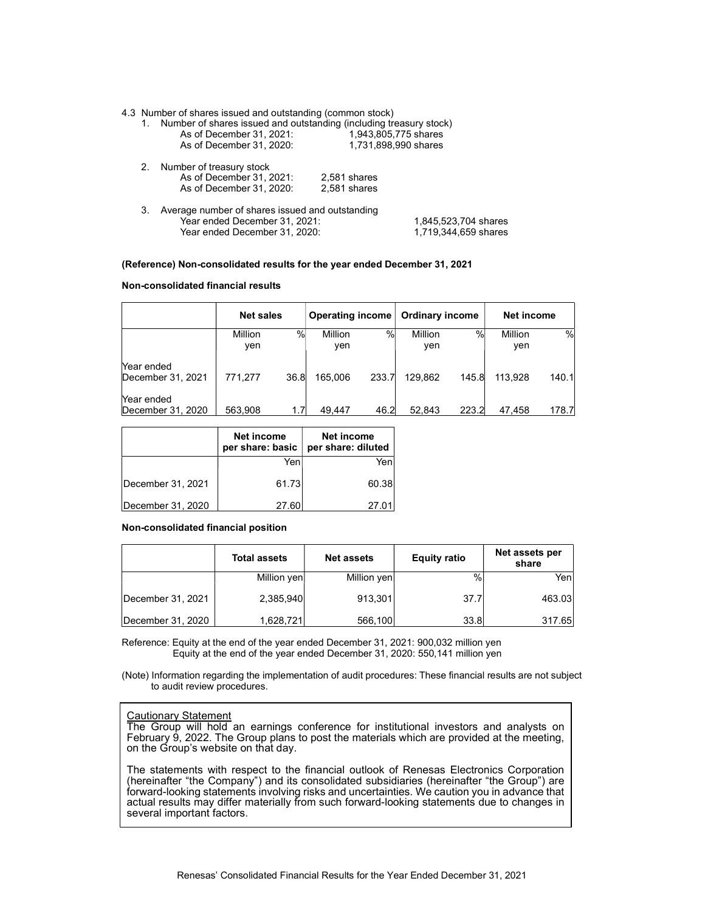4.3 Number of shares issued and outstanding (common stock)

|    | 1. Number of shares issued and outstanding (including treasury stock) |                      |                      |
|----|-----------------------------------------------------------------------|----------------------|----------------------|
|    | As of December 31, 2021:                                              | 1,943,805,775 shares |                      |
|    | As of December 31, 2020:                                              | 1,731,898,990 shares |                      |
|    | 2. Number of treasury stock                                           |                      |                      |
|    | As of December 31, 2021:                                              | 2.581 shares         |                      |
|    | As of December 31, 2020:                                              | 2.581 shares         |                      |
| З. | Average number of shares issued and outstanding                       |                      |                      |
|    | Year ended December 31, 2021:                                         |                      | 1.845.523.704 shares |
|    | Year ended December 31, 2020:                                         |                      | 1,719,344,659 shares |
|    |                                                                       |                      |                      |

#### (Reference) Non-consolidated results for the year ended December 31, 2021

Non-consolidated financial results

|                                 | <b>Net sales</b> |      | <b>Operating income</b> |               | <b>Ordinary income</b> |       | Net income |       |
|---------------------------------|------------------|------|-------------------------|---------------|------------------------|-------|------------|-------|
|                                 | Million          | %    | Million                 | $\frac{0}{0}$ | Million                | $\%$  | Million    | %     |
|                                 | ven              |      | ven                     |               | ven                    |       | yen        |       |
| Year ended<br>December 31, 2021 | 771.277          | 36.8 | 165.006                 | 233.7         | 129.862                | 145.8 | 113,928    | 140.1 |
| Year ended<br>December 31, 2020 | 563.908          | 1.7  | 49.447                  | 46.2          | 52.843                 | 223.2 | 47.458     | 178.7 |

|                   | Net income<br>per share: basic | Net income<br>per share: diluted |
|-------------------|--------------------------------|----------------------------------|
|                   | Yen                            | Yen                              |
| December 31, 2021 | 61.73                          | 60.38                            |
| December 31, 2020 | 27.60                          | 27.01                            |

#### Non-consolidated financial position

|                   | <b>Total assets</b> | <b>Net assets</b> | <b>Equity ratio</b> | Net assets per<br>share |
|-------------------|---------------------|-------------------|---------------------|-------------------------|
|                   | Million yen         | Million yen       | $\%$                | Yenl                    |
| December 31, 2021 | 2,385,940           | 913,301           | 37.7                | 463.03                  |
| December 31, 2020 | 1,628,721           | 566,100           | 33.8                | 317.65                  |

Reference: Equity at the end of the year ended December 31, 2021: 900,032 million yen Equity at the end of the year ended December 31, 2020: 550,141 million yen

(Note) Information regarding the implementation of audit procedures: These financial results are not subject to audit review procedures.

# Cautionary Statement

The Group will hold an earnings conference for institutional investors and analysts on February 9, 2022. The Group plans to post the materials which are provided at the meeting, on the Group's website on that day.

The statements with respect to the financial outlook of Renesas Electronics Corporation (hereinafter "the Company") and its consolidated subsidiaries (hereinafter "the Group") are forward-looking statements involving risks and uncertainties. We caution you in advance that actual results may differ materially from such forward-looking statements due to changes in several important factors.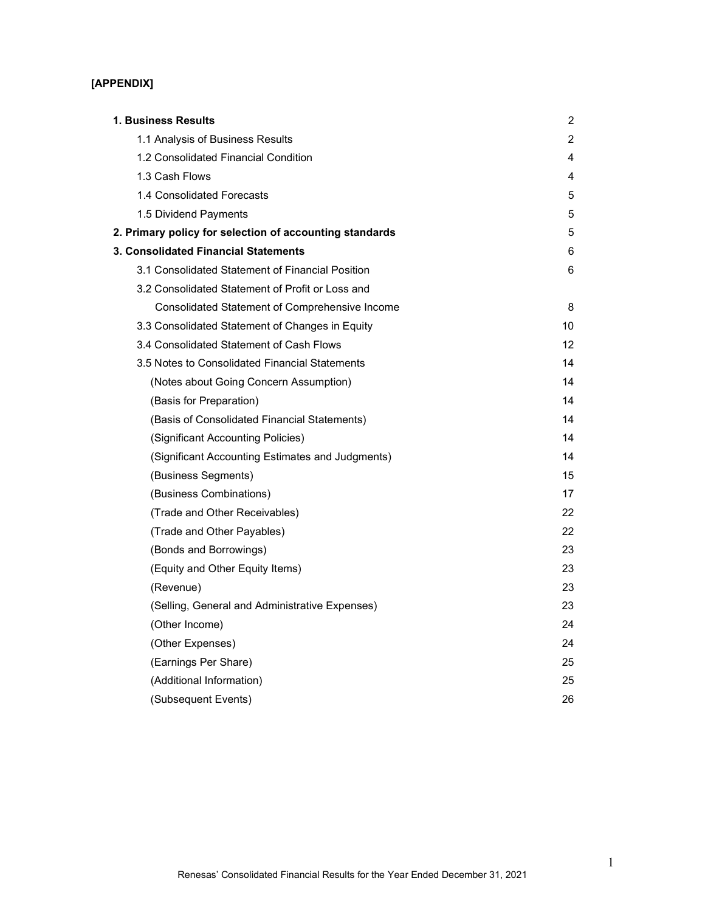# [APPENDIX]

| 1. Business Results                                     | 2  |
|---------------------------------------------------------|----|
| 1.1 Analysis of Business Results                        | 2  |
| 1.2 Consolidated Financial Condition                    | 4  |
| 1.3 Cash Flows                                          | 4  |
| 1.4 Consolidated Forecasts                              | 5  |
| 1.5 Dividend Payments                                   | 5  |
| 2. Primary policy for selection of accounting standards | 5  |
| 3. Consolidated Financial Statements                    | 6  |
| 3.1 Consolidated Statement of Financial Position        | 6  |
| 3.2 Consolidated Statement of Profit or Loss and        |    |
| Consolidated Statement of Comprehensive Income          | 8  |
| 3.3 Consolidated Statement of Changes in Equity         | 10 |
| 3.4 Consolidated Statement of Cash Flows                | 12 |
| 3.5 Notes to Consolidated Financial Statements          | 14 |
| (Notes about Going Concern Assumption)                  | 14 |
| (Basis for Preparation)                                 | 14 |
| (Basis of Consolidated Financial Statements)            | 14 |
| (Significant Accounting Policies)                       | 14 |
| (Significant Accounting Estimates and Judgments)        | 14 |
| (Business Segments)                                     | 15 |
| (Business Combinations)                                 | 17 |
| (Trade and Other Receivables)                           | 22 |
| (Trade and Other Payables)                              | 22 |
| (Bonds and Borrowings)                                  | 23 |
| (Equity and Other Equity Items)                         | 23 |
| (Revenue)                                               | 23 |
| (Selling, General and Administrative Expenses)          | 23 |
| (Other Income)                                          | 24 |
| (Other Expenses)                                        | 24 |
| (Earnings Per Share)                                    | 25 |
| (Additional Information)                                | 25 |
| (Subsequent Events)                                     | 26 |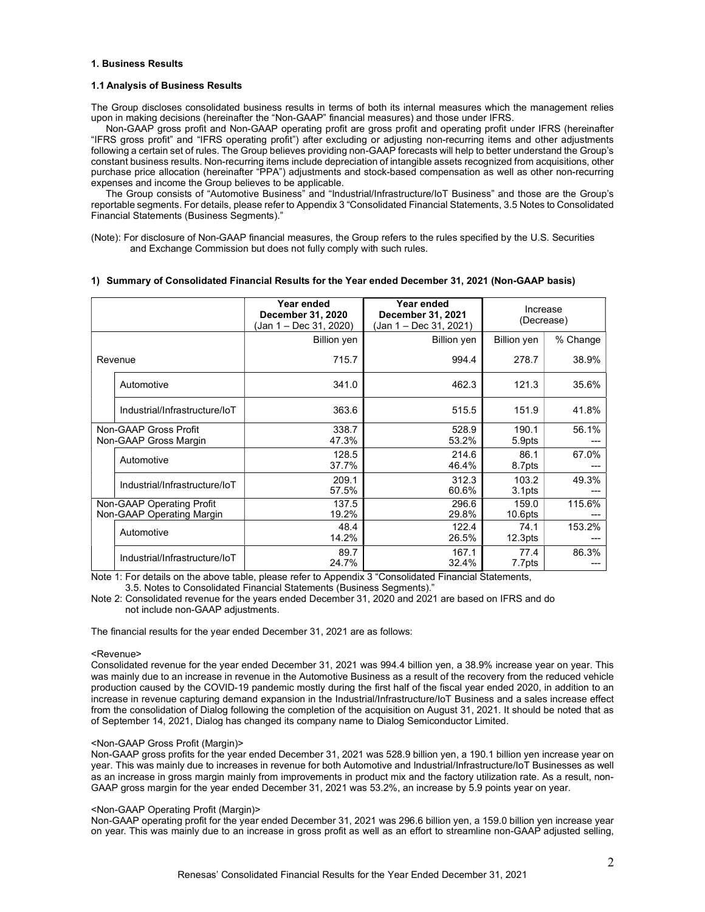#### 1. Business Results

#### 1.1 Analysis of Business Results

The Group discloses consolidated business results in terms of both its internal measures which the management relies upon in making decisions (hereinafter the "Non-GAAP" financial measures) and those under IFRS.

 Non-GAAP gross profit and Non-GAAP operating profit are gross profit and operating profit under IFRS (hereinafter "IFRS gross profit" and "IFRS operating profit") after excluding or adjusting non-recurring items and other adjustments following a certain set of rules. The Group believes providing non-GAAP forecasts will help to better understand the Group's constant business results. Non-recurring items include depreciation of intangible assets recognized from acquisitions, other purchase price allocation (hereinafter "PPA") adjustments and stock-based compensation as well as other non-recurring expenses and income the Group believes to be applicable.

The Group consists of "Automotive Business" and "Industrial/Infrastructure/IoT Business" and those are the Group's reportable segments. For details, please refer to Appendix 3 "Consolidated Financial Statements, 3.5 Notes to Consolidated Financial Statements (Business Segments)."

<sup>(</sup>Note): For disclosure of Non-GAAP financial measures, the Group refers to the rules specified by the U.S. Securities and Exchange Commission but does not fully comply with such rules.

|                                                        | Year ended<br>December 31, 2020<br>(Jan 1 – Dec 31, 2020) | Year ended<br>December 31, 2021<br>(Jan 1 – Dec 31, 2021) |                              | Increase<br>(Decrease) |
|--------------------------------------------------------|-----------------------------------------------------------|-----------------------------------------------------------|------------------------------|------------------------|
|                                                        | <b>Billion</b> yen                                        | Billion yen                                               | Billion yen                  | % Change               |
| Revenue                                                | 715.7                                                     | 994.4                                                     | 278.7                        | 38.9%                  |
| Automotive                                             | 341.0                                                     | 462.3                                                     | 121.3                        | 35.6%                  |
| Industrial/Infrastructure/IoT                          | 363.6                                                     | 515.5                                                     | 151.9                        | 41.8%                  |
| Non-GAAP Gross Profit<br>Non-GAAP Gross Margin         | 338.7<br>47.3%                                            | 528.9<br>53.2%                                            | 190.1<br>5.9pts              | 56.1%                  |
| Automotive                                             | 128.5<br>37.7%                                            | 214.6<br>46.4%                                            | 86.1<br>8.7pts               | 67.0%                  |
| Industrial/Infrastructure/IoT                          | 209.1<br>57.5%                                            | 312.3<br>60.6%                                            | 103.2<br>3.1pts              | 49.3%                  |
| Non-GAAP Operating Profit<br>Non-GAAP Operating Margin | 137.5<br>19.2%                                            | 296.6<br>29.8%                                            | 159.0<br>10.6 <sub>pts</sub> | 115.6%                 |
| Automotive                                             | 48.4<br>14.2%                                             | 122.4<br>26.5%                                            | 74.1<br>12.3 <sub>pts</sub>  | 153.2%                 |
| Industrial/Infrastructure/IoT                          | 89.7<br>24.7%                                             | 167.1<br>32.4%                                            | 77.4<br>7.7pts               | 86.3%                  |

#### 1) Summary of Consolidated Financial Results for the Year ended December 31, 2021 (Non-GAAP basis)

Note 1: For details on the above table, please refer to Appendix 3 "Consolidated Financial Statements, 3.5. Notes to Consolidated Financial Statements (Business Segments)."

Note 2: Consolidated revenue for the years ended December 31, 2020 and 2021 are based on IFRS and do not include non-GAAP adjustments.

The financial results for the year ended December 31, 2021 are as follows:

#### <Revenue>

Consolidated revenue for the year ended December 31, 2021 was 994.4 billion yen, a 38.9% increase year on year. This was mainly due to an increase in revenue in the Automotive Business as a result of the recovery from the reduced vehicle production caused by the COVID-19 pandemic mostly during the first half of the fiscal year ended 2020, in addition to an increase in revenue capturing demand expansion in the Industrial/Infrastructure/IoT Business and a sales increase effect from the consolidation of Dialog following the completion of the acquisition on August 31, 2021. It should be noted that as of September 14, 2021, Dialog has changed its company name to Dialog Semiconductor Limited.

#### <Non-GAAP Gross Profit (Margin)>

Non-GAAP gross profits for the year ended December 31, 2021 was 528.9 billion yen, a 190.1 billion yen increase year on year. This was mainly due to increases in revenue for both Automotive and Industrial/Infrastructure/IoT Businesses as well as an increase in gross margin mainly from improvements in product mix and the factory utilization rate. As a result, non-GAAP gross margin for the year ended December 31, 2021 was 53.2%, an increase by 5.9 points year on year.

#### <Non-GAAP Operating Profit (Margin)>

Non-GAAP operating profit for the year ended December 31, 2021 was 296.6 billion yen, a 159.0 billion yen increase year on year. This was mainly due to an increase in gross profit as well as an effort to streamline non-GAAP adjusted selling,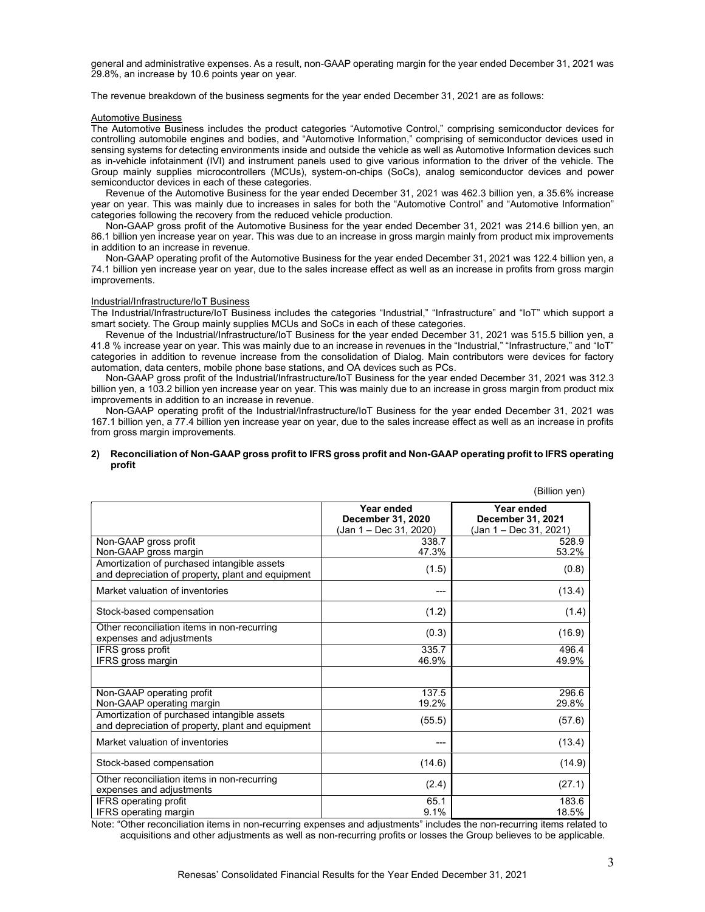general and administrative expenses. As a result, non-GAAP operating margin for the year ended December 31, 2021 was 29.8%, an increase by 10.6 points year on year.

The revenue breakdown of the business segments for the year ended December 31, 2021 are as follows:

#### Automotive Business

The Automotive Business includes the product categories "Automotive Control," comprising semiconductor devices for controlling automobile engines and bodies, and "Automotive Information," comprising of semiconductor devices used in sensing systems for detecting environments inside and outside the vehicle as well as Automotive Information devices such as in-vehicle infotainment (IVI) and instrument panels used to give various information to the driver of the vehicle. The Group mainly supplies microcontrollers (MCUs), system-on-chips (SoCs), analog semiconductor devices and power semiconductor devices in each of these categories.

Revenue of the Automotive Business for the year ended December 31, 2021 was 462.3 billion yen, a 35.6% increase year on year. This was mainly due to increases in sales for both the "Automotive Control" and "Automotive Information" categories following the recovery from the reduced vehicle production.

Non-GAAP gross profit of the Automotive Business for the year ended December 31, 2021 was 214.6 billion yen, an 86.1 billion yen increase year on year. This was due to an increase in gross margin mainly from product mix improvements in addition to an increase in revenue.

Non-GAAP operating profit of the Automotive Business for the year ended December 31, 2021 was 122.4 billion yen, a 74.1 billion yen increase year on year, due to the sales increase effect as well as an increase in profits from gross margin improvements.

#### Industrial/Infrastructure/IoT Business

The Industrial/Infrastructure/IoT Business includes the categories "Industrial," "Infrastructure" and "IoT" which support a smart society. The Group mainly supplies MCUs and SoCs in each of these categories.

Revenue of the Industrial/Infrastructure/IoT Business for the year ended December 31, 2021 was 515.5 billion yen, a 41.8 % increase year on year. This was mainly due to an increase in revenues in the "Industrial," "Infrastructure," and "IoT" categories in addition to revenue increase from the consolidation of Dialog. Main contributors were devices for factory automation, data centers, mobile phone base stations, and OA devices such as PCs.

Non-GAAP gross profit of the Industrial/Infrastructure/IoT Business for the year ended December 31, 2021 was 312.3 billion yen, a 103.2 billion yen increase year on year. This was mainly due to an increase in gross margin from product mix improvements in addition to an increase in revenue.

Non-GAAP operating profit of the Industrial/Infrastructure/IoT Business for the year ended December 31, 2021 was 167.1 billion yen, a 77.4 billion yen increase year on year, due to the sales increase effect as well as an increase in profits from gross margin improvements.

#### 2) Reconciliation of Non-GAAP gross profit to IFRS gross profit and Non-GAAP operating profit to IFRS operating profit

|                                                                                                  |                                                           | (Billion yen)                                             |
|--------------------------------------------------------------------------------------------------|-----------------------------------------------------------|-----------------------------------------------------------|
|                                                                                                  | Year ended<br>December 31, 2020<br>(Jan 1 - Dec 31, 2020) | Year ended<br>December 31, 2021<br>(Jan 1 – Dec 31, 2021) |
| Non-GAAP gross profit<br>Non-GAAP gross margin                                                   | 338.7<br>47.3%                                            | 528.9<br>53.2%                                            |
| Amortization of purchased intangible assets<br>and depreciation of property, plant and equipment | (1.5)                                                     | (0.8)                                                     |
| Market valuation of inventories                                                                  | ---                                                       | (13.4)                                                    |
| Stock-based compensation                                                                         | (1.2)                                                     | (1.4)                                                     |
| Other reconciliation items in non-recurring<br>expenses and adjustments                          | (0.3)                                                     | (16.9)                                                    |
| IFRS gross profit<br>IFRS gross margin                                                           | 335.7<br>46.9%                                            | 496.4<br>49.9%                                            |
|                                                                                                  |                                                           |                                                           |
| Non-GAAP operating profit<br>Non-GAAP operating margin                                           | 137.5<br>19.2%                                            | 296.6<br>29.8%                                            |
| Amortization of purchased intangible assets<br>and depreciation of property, plant and equipment | (55.5)                                                    | (57.6)                                                    |
| Market valuation of inventories                                                                  | ---                                                       | (13.4)                                                    |
| Stock-based compensation                                                                         | (14.6)                                                    | (14.9)                                                    |
| Other reconciliation items in non-recurring<br>expenses and adjustments                          | (2.4)                                                     | (27.1)                                                    |
| IFRS operating profit<br><b>IFRS</b> operating margin                                            | 65.1<br>9.1%                                              | 183.6<br>18.5%                                            |

Note: "Other reconciliation items in non-recurring expenses and adjustments" includes the non-recurring items related to acquisitions and other adjustments as well as non-recurring profits or losses the Group believes to be applicable.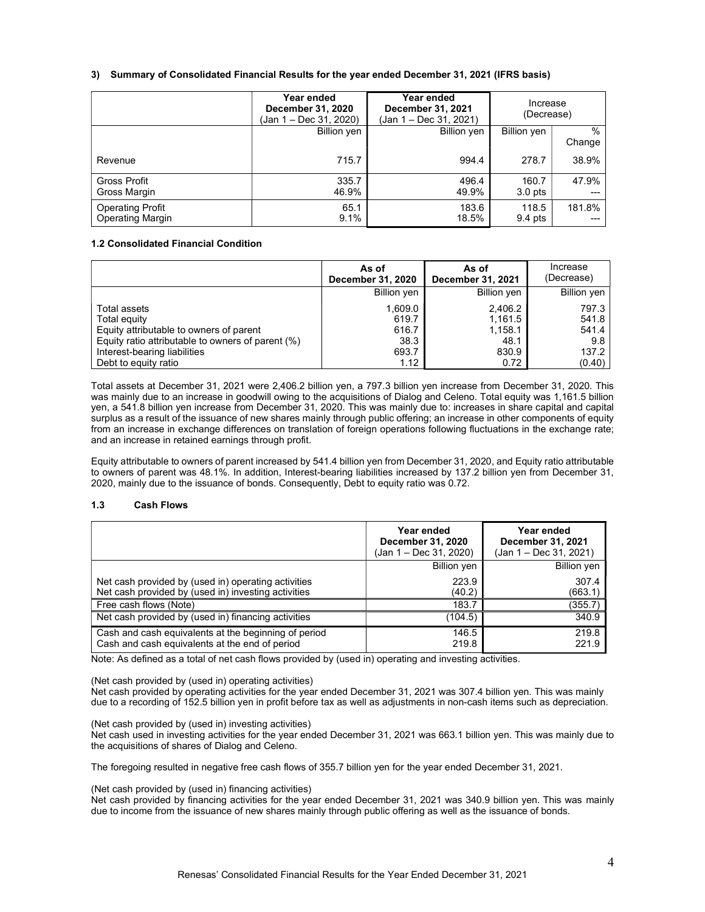### 3) Summary of Consolidated Financial Results for the year ended December 31, 2021 (IFRS basis)

|                                                    | Year ended<br>December 31, 2020<br>(Jan 1 – Dec 31, 2020) | Year ended<br>December 31, 2021<br>(Jan 1 – Dec 31, 2021) | Increase<br>(Decrease) |                         |
|----------------------------------------------------|-----------------------------------------------------------|-----------------------------------------------------------|------------------------|-------------------------|
|                                                    | Billion yen                                               | Billion yen                                               | Billion yen            | $\frac{0}{0}$<br>Change |
| Revenue                                            | 715.7                                                     | 994.4                                                     | 278.7                  | 38.9%                   |
| Gross Profit<br>Gross Margin                       | 335.7<br>46.9%                                            | 496.4<br>49.9%                                            | 160.7<br>$3.0$ pts     | 47.9%                   |
| <b>Operating Profit</b><br><b>Operating Margin</b> | 65.1<br>9.1%                                              | 183.6<br>18.5%                                            | 118.5<br>$9.4$ pts     | 181.8%                  |

### 1.2 Consolidated Financial Condition

|                                                   | As of<br>December 31, 2020 | As of<br>December 31, 2021 | Increase<br>(Decrease) |
|---------------------------------------------------|----------------------------|----------------------------|------------------------|
|                                                   | Billion yen                | <b>Billion yen</b>         | <b>Billion</b> yen     |
| Total assets                                      | 1.609.0                    | 2,406.2                    | 797.3                  |
| Total equity                                      | 619.7                      | 1,161.5                    | 541.8                  |
| Equity attributable to owners of parent           | 616.7                      | 1,158.1                    | 541.4                  |
| Equity ratio attributable to owners of parent (%) | 38.3                       | 48.1                       | 9.8                    |
| Interest-bearing liabilities                      | 693.7                      | 830.9                      | 137.2                  |
| Debt to equity ratio                              | 1.12                       | 0.72                       | (0.40)                 |

Total assets at December 31, 2021 were 2,406.2 billion yen, a 797.3 billion yen increase from December 31, 2020. This was mainly due to an increase in goodwill owing to the acquisitions of Dialog and Celeno. Total equity was 1,161.5 billion yen, a 541.8 billion yen increase from December 31, 2020. This was mainly due to: increases in share capital and capital surplus as a result of the issuance of new shares mainly through public offering; an increase in other components of equity from an increase in exchange differences on translation of foreign operations following fluctuations in the exchange rate; and an increase in retained earnings through profit.

Equity attributable to owners of parent increased by 541.4 billion yen from December 31, 2020, and Equity ratio attributable to owners of parent was 48.1%. In addition, Interest-bearing liabilities increased by 137.2 billion yen from December 31, 2020, mainly due to the issuance of bonds. Consequently, Debt to equity ratio was 0.72.

#### 1.3 Cash Flows

|                                                                                                            | Year ended<br>December 31, 2020<br>(Jan 1 – Dec 31, 2020) | Year ended<br>December 31, 2021<br>(Jan 1 – Dec 31, 2021) |
|------------------------------------------------------------------------------------------------------------|-----------------------------------------------------------|-----------------------------------------------------------|
|                                                                                                            | <b>Billion yen</b>                                        | Billion yen                                               |
| Net cash provided by (used in) operating activities<br>Net cash provided by (used in) investing activities | 223.9<br>(40.2)                                           | 307.4<br>(663.1)                                          |
| Free cash flows (Note)                                                                                     | 183.7                                                     | (355.7)                                                   |
| Net cash provided by (used in) financing activities                                                        | (104.5)                                                   | 340.9                                                     |
| Cash and cash equivalents at the beginning of period<br>Cash and cash equivalents at the end of period     | 146.5<br>219.8                                            | 219.8<br>221.9                                            |

Note: As defined as a total of net cash flows provided by (used in) operating and investing activities.

(Net cash provided by (used in) operating activities)

Net cash provided by operating activities for the year ended December 31, 2021 was 307.4 billion yen. This was mainly due to a recording of 152.5 billion yen in profit before tax as well as adjustments in non-cash items such as depreciation.

(Net cash provided by (used in) investing activities)

Net cash used in investing activities for the year ended December 31, 2021 was 663.1 billion yen. This was mainly due to the acquisitions of shares of Dialog and Celeno.

The foregoing resulted in negative free cash flows of 355.7 billion yen for the year ended December 31, 2021.

(Net cash provided by (used in) financing activities)

Net cash provided by financing activities for the year ended December 31, 2021 was 340.9 billion yen. This was mainly due to income from the issuance of new shares mainly through public offering as well as the issuance of bonds.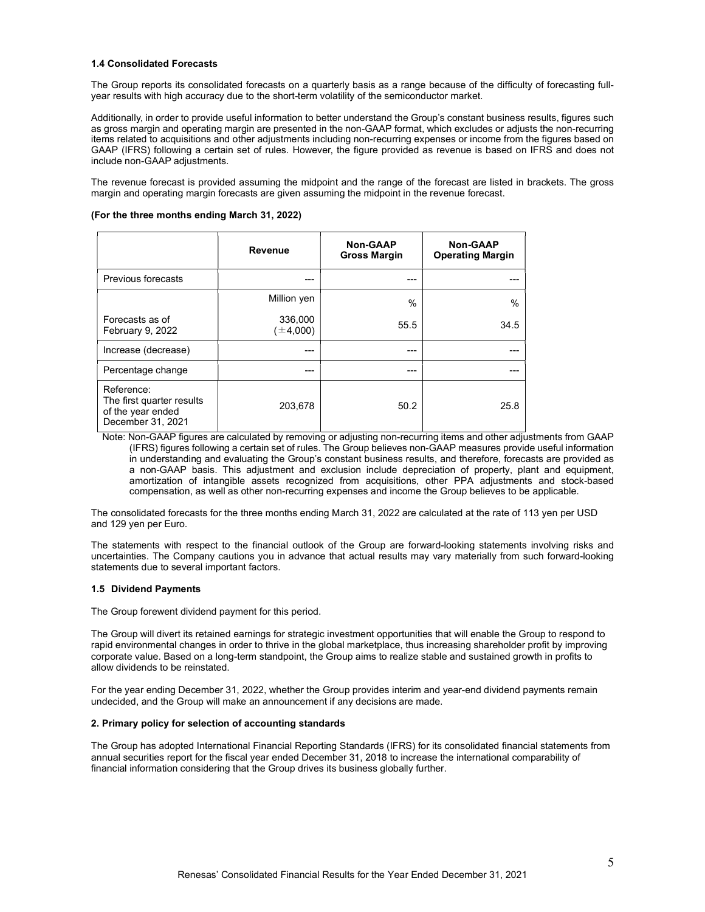#### 1.4 Consolidated Forecasts

The Group reports its consolidated forecasts on a quarterly basis as a range because of the difficulty of forecasting fullyear results with high accuracy due to the short-term volatility of the semiconductor market.

Additionally, in order to provide useful information to better understand the Group's constant business results, figures such as gross margin and operating margin are presented in the non-GAAP format, which excludes or adjusts the non-recurring items related to acquisitions and other adjustments including non-recurring expenses or income from the figures based on GAAP (IFRS) following a certain set of rules. However, the figure provided as revenue is based on IFRS and does not include non-GAAP adjustments.

The revenue forecast is provided assuming the midpoint and the range of the forecast are listed in brackets. The gross margin and operating margin forecasts are given assuming the midpoint in the revenue forecast.

#### (For the three months ending March 31, 2022)

|                                                                                   | Revenue                | <b>Non-GAAP</b><br><b>Gross Margin</b> | <b>Non-GAAP</b><br><b>Operating Margin</b> |
|-----------------------------------------------------------------------------------|------------------------|----------------------------------------|--------------------------------------------|
| Previous forecasts                                                                | ---                    | ---                                    |                                            |
|                                                                                   | Million yen            | $\%$                                   | $\frac{0}{0}$                              |
| Forecasts as of<br>February 9, 2022                                               | 336,000<br>$\pm 4,000$ | 55.5                                   | 34.5                                       |
| Increase (decrease)                                                               |                        | ---                                    |                                            |
| Percentage change                                                                 | ---                    | ---                                    |                                            |
| Reference:<br>The first quarter results<br>of the year ended<br>December 31, 2021 | 203,678                | 50.2                                   | 25.8                                       |

Note: Non-GAAP figures are calculated by removing or adjusting non-recurring items and other adjustments from GAAP (IFRS) figures following a certain set of rules. The Group believes non-GAAP measures provide useful information in understanding and evaluating the Group's constant business results, and therefore, forecasts are provided as a non-GAAP basis. This adjustment and exclusion include depreciation of property, plant and equipment, amortization of intangible assets recognized from acquisitions, other PPA adjustments and stock-based compensation, as well as other non-recurring expenses and income the Group believes to be applicable.

The consolidated forecasts for the three months ending March 31, 2022 are calculated at the rate of 113 yen per USD and 129 yen per Euro.

The statements with respect to the financial outlook of the Group are forward-looking statements involving risks and uncertainties. The Company cautions you in advance that actual results may vary materially from such forward-looking statements due to several important factors.

#### 1.5 Dividend Payments

The Group forewent dividend payment for this period.

The Group will divert its retained earnings for strategic investment opportunities that will enable the Group to respond to rapid environmental changes in order to thrive in the global marketplace, thus increasing shareholder profit by improving corporate value. Based on a long-term standpoint, the Group aims to realize stable and sustained growth in profits to allow dividends to be reinstated.

For the year ending December 31, 2022, whether the Group provides interim and year-end dividend payments remain undecided, and the Group will make an announcement if any decisions are made.

#### 2. Primary policy for selection of accounting standards

The Group has adopted International Financial Reporting Standards (IFRS) for its consolidated financial statements from annual securities report for the fiscal year ended December 31, 2018 to increase the international comparability of financial information considering that the Group drives its business globally further.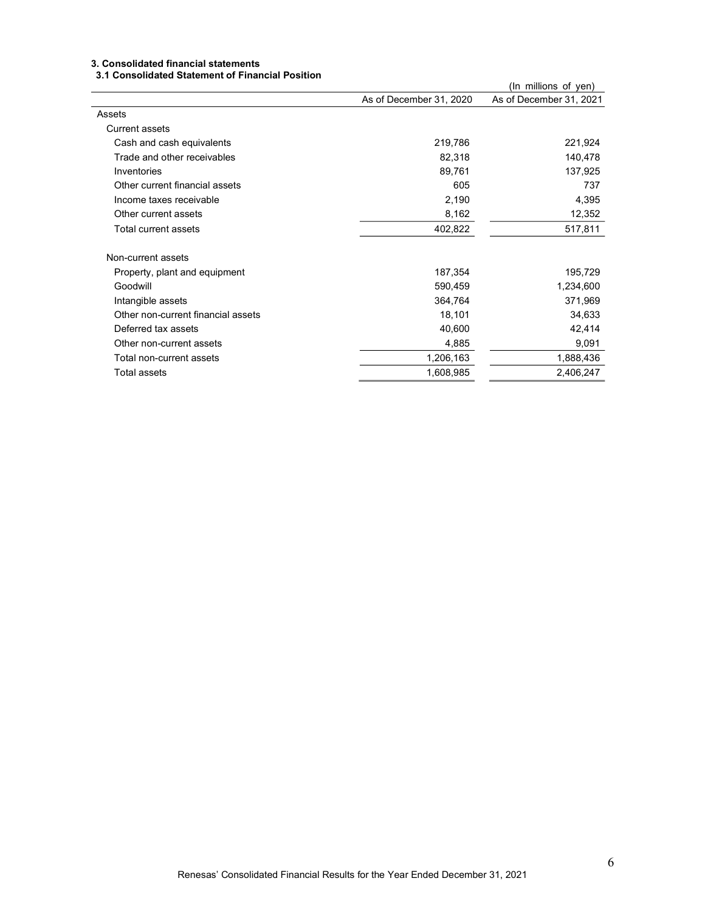# 3. Consolidated financial statements

# 3.1 Consolidated Statement of Financial Position

| J. I OUNSUNGLEG OLGLENIEN. UI I MANUGI I USILIUM |                         |                         |
|--------------------------------------------------|-------------------------|-------------------------|
|                                                  |                         | (In millions of yen)    |
|                                                  | As of December 31, 2020 | As of December 31, 2021 |
| Assets                                           |                         |                         |
| Current assets                                   |                         |                         |
| Cash and cash equivalents                        | 219,786                 | 221,924                 |
| Trade and other receivables                      | 82,318                  | 140,478                 |
| Inventories                                      | 89,761                  | 137,925                 |
| Other current financial assets                   | 605                     | 737                     |
| Income taxes receivable                          | 2,190                   | 4,395                   |
| Other current assets                             | 8,162                   | 12,352                  |
| Total current assets                             | 402,822                 | 517,811                 |
| Non-current assets                               |                         |                         |
| Property, plant and equipment                    | 187,354                 | 195,729                 |
| Goodwill                                         | 590,459                 | 1,234,600               |
| Intangible assets                                | 364,764                 | 371,969                 |
| Other non-current financial assets               | 18,101                  | 34,633                  |
| Deferred tax assets                              | 40,600                  | 42,414                  |
| Other non-current assets                         | 4,885                   | 9,091                   |
| Total non-current assets                         | 1,206,163               | 1,888,436               |
| Total assets                                     | 1,608,985               | 2,406,247               |
|                                                  |                         |                         |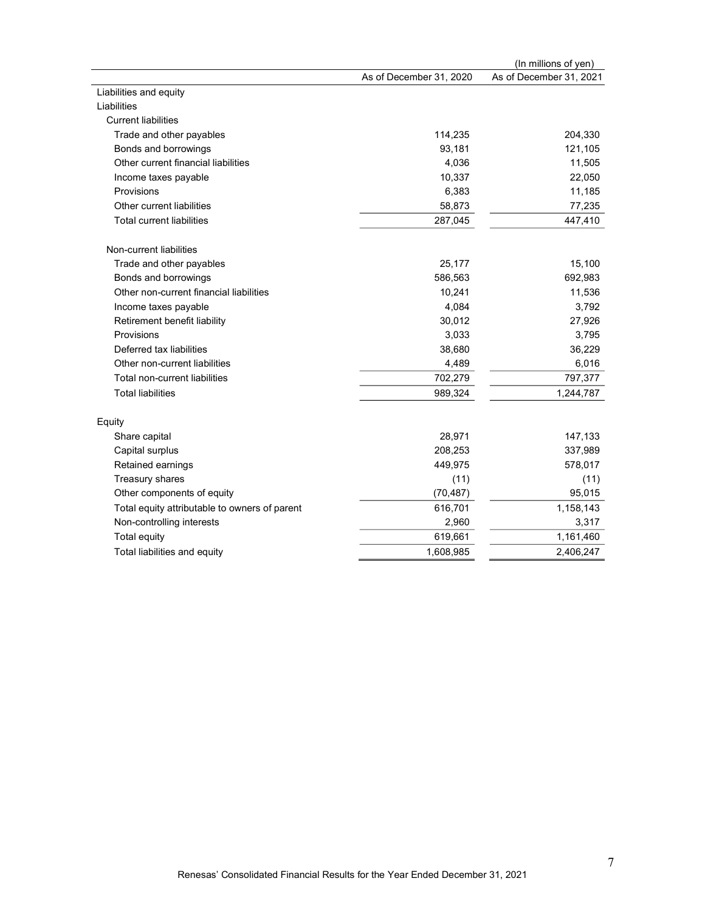|                                               |                         | (In millions of yen)    |
|-----------------------------------------------|-------------------------|-------------------------|
|                                               | As of December 31, 2020 | As of December 31, 2021 |
| Liabilities and equity                        |                         |                         |
| Liabilities                                   |                         |                         |
| <b>Current liabilities</b>                    |                         |                         |
| Trade and other payables                      | 114,235                 | 204,330                 |
| Bonds and borrowings                          | 93,181                  | 121,105                 |
| Other current financial liabilities           | 4,036                   | 11,505                  |
| Income taxes payable                          | 10,337                  | 22,050                  |
| Provisions                                    | 6,383                   | 11,185                  |
| Other current liabilities                     | 58,873                  | 77,235                  |
| <b>Total current liabilities</b>              | 287,045                 | 447,410                 |
| Non-current liabilities                       |                         |                         |
| Trade and other payables                      | 25,177                  | 15,100                  |
| Bonds and borrowings                          | 586,563                 | 692,983                 |
| Other non-current financial liabilities       | 10,241                  | 11,536                  |
| Income taxes payable                          | 4,084                   | 3,792                   |
| Retirement benefit liability                  | 30,012                  | 27,926                  |
| Provisions                                    | 3,033                   | 3,795                   |
| Deferred tax liabilities                      | 38,680                  | 36,229                  |
| Other non-current liabilities                 | 4,489                   | 6,016                   |
| Total non-current liabilities                 | 702,279                 | 797,377                 |
| <b>Total liabilities</b>                      | 989,324                 | 1,244,787               |
| Equity                                        |                         |                         |
| Share capital                                 | 28,971                  | 147,133                 |
| Capital surplus                               | 208,253                 | 337,989                 |
| Retained earnings                             | 449,975                 | 578,017                 |
| Treasury shares                               | (11)                    | (11)                    |
| Other components of equity                    | (70, 487)               | 95,015                  |
| Total equity attributable to owners of parent | 616,701                 | 1,158,143               |
| Non-controlling interests                     | 2,960                   | 3,317                   |
| Total equity                                  | 619,661                 | 1,161,460               |
| Total liabilities and equity                  | 1,608,985               | 2,406,247               |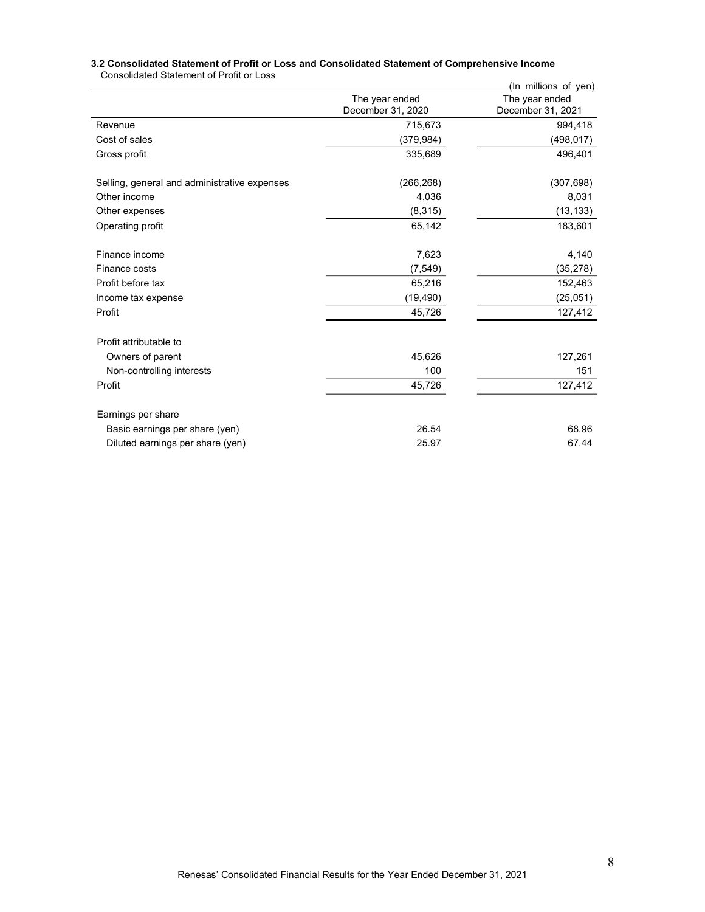|                                              |                   | (In millions of yen) |
|----------------------------------------------|-------------------|----------------------|
|                                              | The year ended    | The year ended       |
|                                              | December 31, 2020 | December 31, 2021    |
| Revenue                                      | 715,673           | 994,418              |
| Cost of sales                                | (379, 984)        | (498, 017)           |
| Gross profit                                 | 335,689           | 496,401              |
| Selling, general and administrative expenses | (266, 268)        | (307, 698)           |
| Other income                                 | 4,036             | 8,031                |
| Other expenses                               | (8,315)           | (13, 133)            |
| Operating profit                             | 65,142            | 183,601              |
| Finance income                               | 7,623             | 4,140                |
| Finance costs                                | (7, 549)          | (35, 278)            |
| Profit before tax                            | 65,216            | 152,463              |
| Income tax expense                           | (19, 490)         | (25,051)             |
| Profit                                       | 45,726            | 127,412              |
| Profit attributable to                       |                   |                      |
| Owners of parent                             | 45,626            | 127,261              |
| Non-controlling interests                    | 100               | 151                  |
| Profit                                       | 45,726            | 127,412              |
| Earnings per share                           |                   |                      |
| Basic earnings per share (yen)               | 26.54             | 68.96                |
| Diluted earnings per share (yen)             | 25.97             | 67.44                |

#### 3.2 Consolidated Statement of Profit or Loss and Consolidated Statement of Comprehensive Income Consolidated Statement of Profit or Loss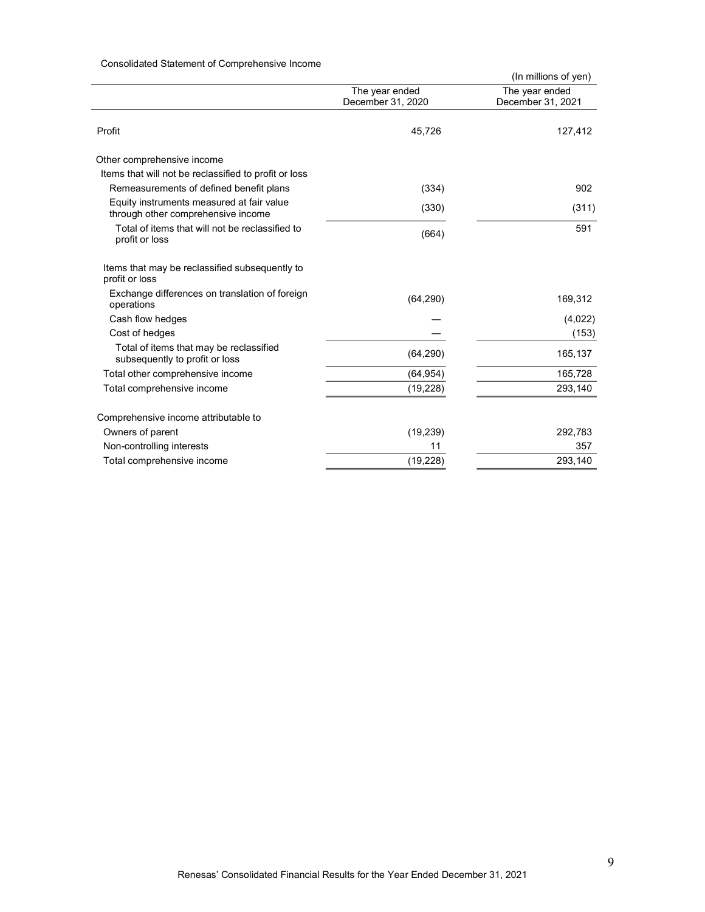# Consolidated Statement of Comprehensive Income

|                                                                                 |                   | (In millions of yen) |
|---------------------------------------------------------------------------------|-------------------|----------------------|
|                                                                                 | The year ended    | The year ended       |
|                                                                                 | December 31, 2020 | December 31, 2021    |
| Profit                                                                          | 45,726            | 127,412              |
| Other comprehensive income                                                      |                   |                      |
| Items that will not be reclassified to profit or loss                           |                   |                      |
| Remeasurements of defined benefit plans                                         | (334)             | 902                  |
| Equity instruments measured at fair value<br>through other comprehensive income | (330)             | (311)                |
| Total of items that will not be reclassified to<br>profit or loss               | (664)             | 591                  |
| Items that may be reclassified subsequently to<br>profit or loss                |                   |                      |
| Exchange differences on translation of foreign<br>operations                    | (64, 290)         | 169,312              |
| Cash flow hedges                                                                |                   | (4,022)              |
| Cost of hedges                                                                  |                   | (153)                |
| Total of items that may be reclassified<br>subsequently to profit or loss       | (64, 290)         | 165,137              |
| Total other comprehensive income                                                | (64, 954)         | 165,728              |
| Total comprehensive income                                                      | (19, 228)         | 293,140              |
| Comprehensive income attributable to                                            |                   |                      |
| Owners of parent                                                                | (19, 239)         | 292,783              |
| Non-controlling interests                                                       | 11                | 357                  |
| Total comprehensive income                                                      | (19, 228)         | 293,140              |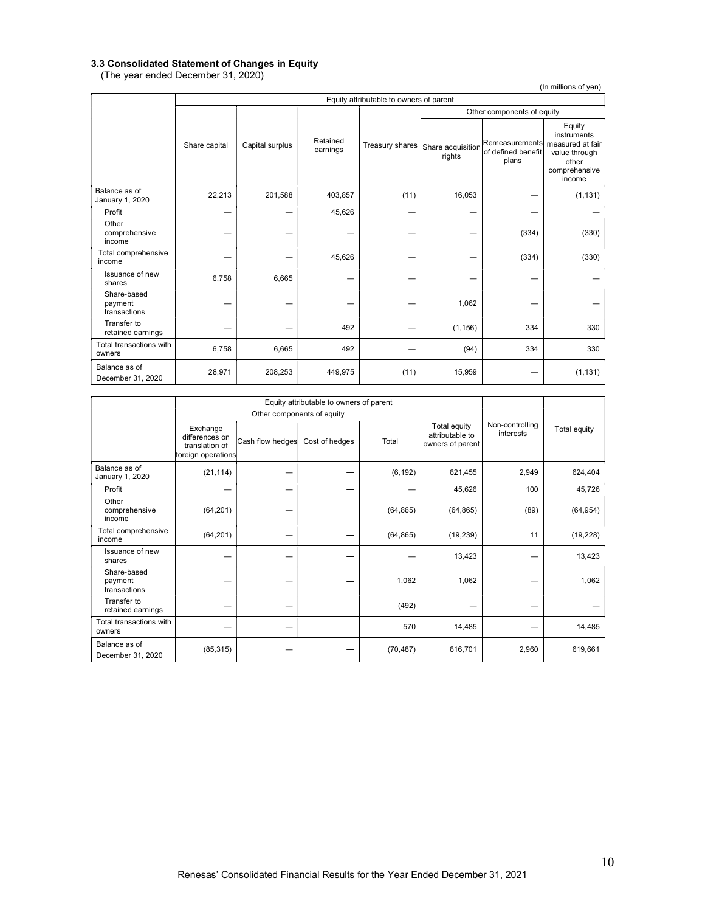#### 3.3 Consolidated Statement of Changes in Equity

(The year ended December 31, 2020)

(In millions of yen)

|                                        |               | Equity attributable to owners of parent |                      |                 |                             |                                               |                                                                                                |
|----------------------------------------|---------------|-----------------------------------------|----------------------|-----------------|-----------------------------|-----------------------------------------------|------------------------------------------------------------------------------------------------|
|                                        |               |                                         |                      |                 | Other components of equity  |                                               |                                                                                                |
|                                        | Share capital | Capital surplus                         | Retained<br>earnings | Treasury shares | Share acquisition<br>rights | Remeasurements<br>of defined benefit<br>plans | Equity<br>instruments<br>measured at fair<br>value through<br>other<br>comprehensive<br>income |
| Balance as of<br>January 1, 2020       | 22,213        | 201,588                                 | 403,857              | (11)            | 16,053                      |                                               | (1, 131)                                                                                       |
| Profit                                 |               |                                         | 45,626               |                 |                             |                                               |                                                                                                |
| Other<br>comprehensive<br>income       |               |                                         |                      |                 |                             | (334)                                         | (330)                                                                                          |
| Total comprehensive<br>income          |               |                                         | 45,626               |                 |                             | (334)                                         | (330)                                                                                          |
| Issuance of new<br>shares              | 6,758         | 6,665                                   |                      |                 |                             |                                               |                                                                                                |
| Share-based<br>payment<br>transactions |               |                                         |                      |                 | 1,062                       |                                               |                                                                                                |
| Transfer to<br>retained earnings       |               |                                         | 492                  |                 | (1, 156)                    | 334                                           | 330                                                                                            |
| Total transactions with<br>owners      | 6,758         | 6,665                                   | 492                  |                 | (94)                        | 334                                           | 330                                                                                            |
| Balance as of<br>December 31, 2020     | 28,971        | 208,253                                 | 449,975              | (11)            | 15,959                      |                                               | (1, 131)                                                                                       |

|                                        | Equity attributable to owners of parent                            |                  |                            |           |                                                     |                              |              |
|----------------------------------------|--------------------------------------------------------------------|------------------|----------------------------|-----------|-----------------------------------------------------|------------------------------|--------------|
|                                        |                                                                    |                  | Other components of equity |           |                                                     |                              |              |
|                                        | Exchange<br>differences on<br>translation of<br>foreign operations | Cash flow hedges | Cost of hedges             | Total     | Total equity<br>attributable to<br>owners of parent | Non-controlling<br>interests | Total equity |
| Balance as of<br>January 1, 2020       | (21, 114)                                                          |                  |                            | (6, 192)  | 621,455                                             | 2,949                        | 624,404      |
| Profit                                 |                                                                    |                  |                            |           | 45,626                                              | 100                          | 45,726       |
| Other<br>comprehensive<br>income       | (64, 201)                                                          |                  |                            | (64, 865) | (64, 865)                                           | (89)                         | (64, 954)    |
| Total comprehensive<br>income          | (64, 201)                                                          |                  |                            | (64, 865) | (19, 239)                                           | 11                           | (19, 228)    |
| Issuance of new<br>shares              |                                                                    |                  |                            |           | 13,423                                              |                              | 13,423       |
| Share-based<br>payment<br>transactions |                                                                    |                  |                            | 1,062     | 1,062                                               |                              | 1,062        |
| Transfer to<br>retained earnings       |                                                                    |                  |                            | (492)     |                                                     |                              |              |
| Total transactions with<br>owners      |                                                                    |                  |                            | 570       | 14,485                                              |                              | 14,485       |
| Balance as of<br>December 31, 2020     | (85, 315)                                                          |                  |                            | (70, 487) | 616,701                                             | 2,960                        | 619,661      |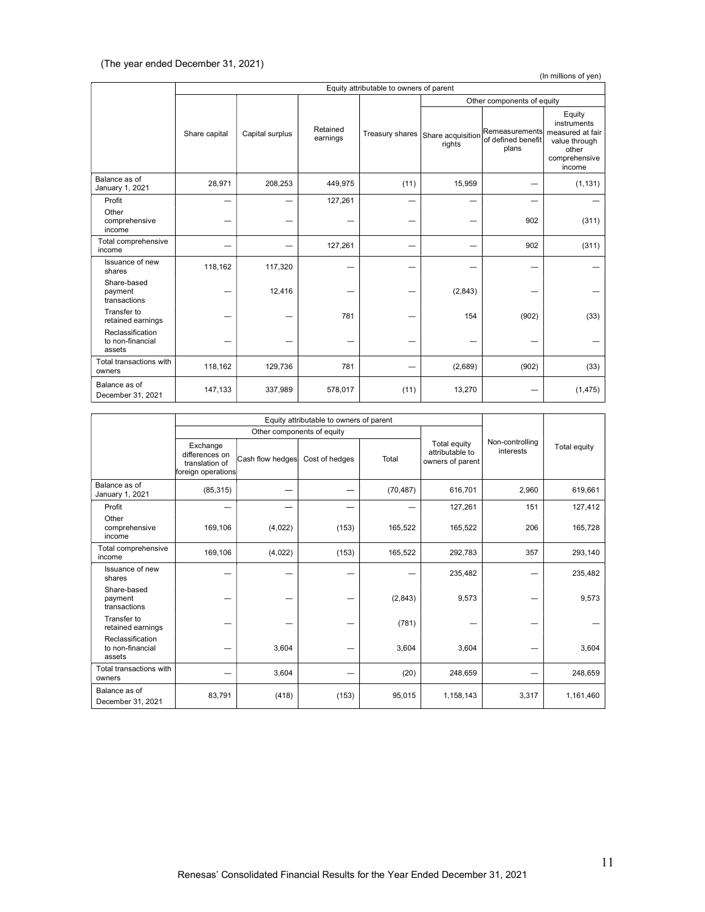(In millions of yen)

|                                                | Equity attributable to owners of parent |                 |                      |                 |                             |                                               |                                                                                                |  |  |
|------------------------------------------------|-----------------------------------------|-----------------|----------------------|-----------------|-----------------------------|-----------------------------------------------|------------------------------------------------------------------------------------------------|--|--|
|                                                |                                         |                 |                      |                 |                             |                                               | Other components of equity                                                                     |  |  |
|                                                | Share capital                           | Capital surplus | Retained<br>earnings | Treasury shares | Share acquisition<br>rights | Remeasurements<br>of defined benefit<br>plans | Equity<br>instruments<br>measured at fair<br>value through<br>other<br>comprehensive<br>income |  |  |
| Balance as of<br>January 1, 2021               | 28,971                                  | 208,253         | 449,975              | (11)            | 15,959                      |                                               | (1, 131)                                                                                       |  |  |
| Profit                                         |                                         |                 | 127,261              |                 |                             |                                               |                                                                                                |  |  |
| Other<br>comprehensive<br>income               |                                         |                 |                      |                 |                             | 902                                           | (311)                                                                                          |  |  |
| Total comprehensive<br>income                  |                                         |                 | 127,261              |                 |                             | 902                                           | (311)                                                                                          |  |  |
| Issuance of new<br>shares                      | 118,162                                 | 117,320         |                      |                 |                             |                                               |                                                                                                |  |  |
| Share-based<br>payment<br>transactions         |                                         | 12,416          |                      |                 | (2,843)                     |                                               |                                                                                                |  |  |
| Transfer to<br>retained earnings               |                                         |                 | 781                  |                 | 154                         | (902)                                         | (33)                                                                                           |  |  |
| Reclassification<br>to non-financial<br>assets |                                         |                 |                      |                 |                             |                                               |                                                                                                |  |  |
| Total transactions with<br>owners              | 118,162                                 | 129,736         | 781                  |                 | (2,689)                     | (902)                                         | (33)                                                                                           |  |  |
| Balance as of<br>December 31, 2021             | 147,133                                 | 337,989         | 578,017              | (11)            | 13,270                      |                                               | (1, 475)                                                                                       |  |  |

|                                                | Equity attributable to owners of parent                            |                  |                            |           |                                                     |                              |              |
|------------------------------------------------|--------------------------------------------------------------------|------------------|----------------------------|-----------|-----------------------------------------------------|------------------------------|--------------|
|                                                |                                                                    |                  | Other components of equity |           |                                                     |                              |              |
|                                                | Exchange<br>differences on<br>translation of<br>foreign operations | Cash flow hedges | Cost of hedges             | Total     | Total equity<br>attributable to<br>owners of parent | Non-controlling<br>interests | Total equity |
| Balance as of<br>January 1, 2021               | (85, 315)                                                          |                  |                            | (70, 487) | 616,701                                             | 2,960                        | 619,661      |
| Profit                                         |                                                                    |                  |                            |           | 127,261                                             | 151                          | 127,412      |
| Other<br>comprehensive<br>income               | 169,106                                                            | (4,022)          | (153)                      | 165,522   | 165,522                                             | 206                          | 165,728      |
| Total comprehensive<br>income                  | 169,106                                                            | (4,022)          | (153)                      | 165,522   | 292,783                                             | 357                          | 293,140      |
| Issuance of new<br>shares                      |                                                                    |                  |                            |           | 235,482                                             |                              | 235,482      |
| Share-based<br>payment<br>transactions         |                                                                    |                  |                            | (2,843)   | 9,573                                               |                              | 9,573        |
| Transfer to<br>retained earnings               |                                                                    |                  |                            | (781)     |                                                     |                              |              |
| Reclassification<br>to non-financial<br>assets |                                                                    | 3,604            |                            | 3,604     | 3,604                                               |                              | 3,604        |
| Total transactions with<br>owners              |                                                                    | 3,604            |                            | (20)      | 248,659                                             |                              | 248,659      |
| Balance as of<br>December 31, 2021             | 83,791                                                             | (418)            | (153)                      | 95,015    | 1,158,143                                           | 3,317                        | 1,161,460    |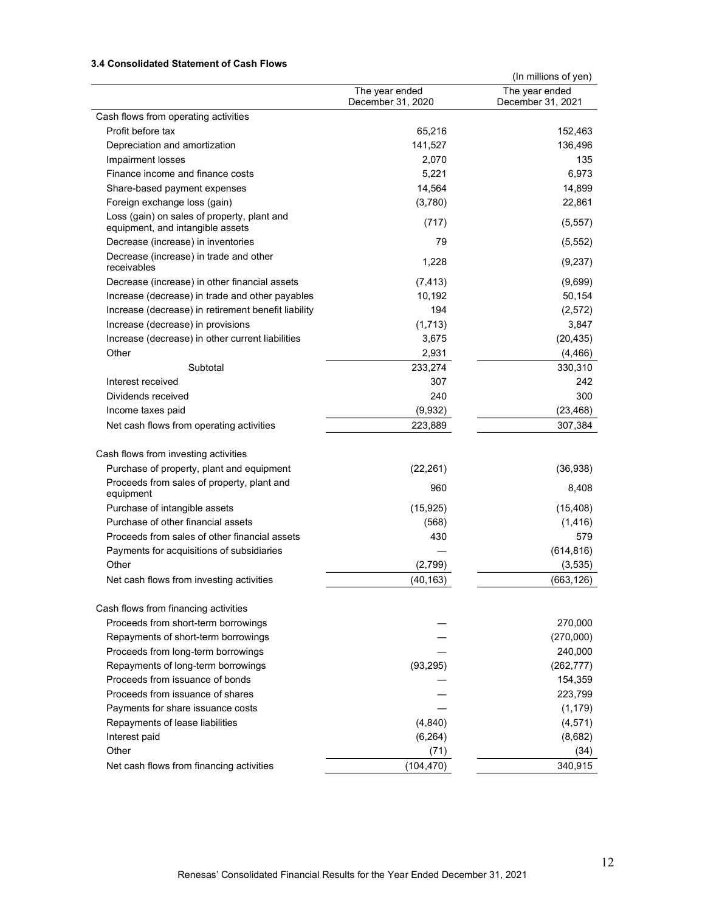# 3.4 Consolidated Statement of Cash Flows

|                                                                                 |                   | (In millions of yen) |
|---------------------------------------------------------------------------------|-------------------|----------------------|
|                                                                                 | The year ended    | The year ended       |
|                                                                                 | December 31, 2020 | December 31, 2021    |
| Cash flows from operating activities                                            |                   |                      |
| Profit before tax                                                               | 65,216            | 152,463              |
| Depreciation and amortization                                                   | 141,527           | 136,496              |
| Impairment losses                                                               | 2,070             | 135                  |
| Finance income and finance costs                                                | 5,221             | 6,973                |
| Share-based payment expenses                                                    | 14,564            | 14,899               |
| Foreign exchange loss (gain)                                                    | (3,780)           | 22,861               |
| Loss (gain) on sales of property, plant and<br>equipment, and intangible assets | (717)             | (5, 557)             |
| Decrease (increase) in inventories                                              | 79                | (5, 552)             |
| Decrease (increase) in trade and other<br>receivables                           | 1,228             | (9,237)              |
| Decrease (increase) in other financial assets                                   | (7, 413)          | (9,699)              |
| Increase (decrease) in trade and other payables                                 | 10,192            | 50,154               |
| Increase (decrease) in retirement benefit liability                             | 194               | (2,572)              |
| Increase (decrease) in provisions                                               | (1,713)           | 3,847                |
| Increase (decrease) in other current liabilities                                | 3,675             | (20, 435)            |
| Other                                                                           | 2,931             | (4, 466)             |
| Subtotal                                                                        | 233,274           | 330,310              |
| Interest received                                                               | 307               | 242                  |
| Dividends received                                                              | 240               | 300                  |
| Income taxes paid                                                               | (9,932)           | (23, 468)            |
| Net cash flows from operating activities                                        | 223,889           | 307,384              |
|                                                                                 |                   |                      |
| Cash flows from investing activities                                            |                   |                      |
| Purchase of property, plant and equipment                                       | (22, 261)         | (36, 938)            |
| Proceeds from sales of property, plant and<br>equipment                         | 960               | 8,408                |
| Purchase of intangible assets                                                   | (15, 925)         | (15, 408)            |
| Purchase of other financial assets                                              | (568)             | (1, 416)             |
| Proceeds from sales of other financial assets                                   | 430               | 579                  |
| Payments for acquisitions of subsidiaries                                       |                   | (614, 816)           |
| Other                                                                           | (2,799)           | (3,535)              |
| Net cash flows from investing activities                                        | (40, 163)         | (663, 126)           |
|                                                                                 |                   |                      |
| Cash flows from financing activities                                            |                   |                      |
| Proceeds from short-term borrowings                                             |                   | 270,000              |
| Repayments of short-term borrowings                                             |                   | (270,000)            |
| Proceeds from long-term borrowings                                              |                   | 240,000              |
| Repayments of long-term borrowings                                              | (93, 295)         | (262, 777)           |
| Proceeds from issuance of bonds                                                 |                   | 154,359              |
| Proceeds from issuance of shares                                                |                   | 223,799              |
| Payments for share issuance costs                                               |                   | (1, 179)             |
| Repayments of lease liabilities                                                 | (4, 840)          | (4, 571)             |
| Interest paid                                                                   | (6, 264)          | (8,682)              |
| Other                                                                           | (71)              | (34)                 |
| Net cash flows from financing activities                                        | (104, 470)        | 340,915              |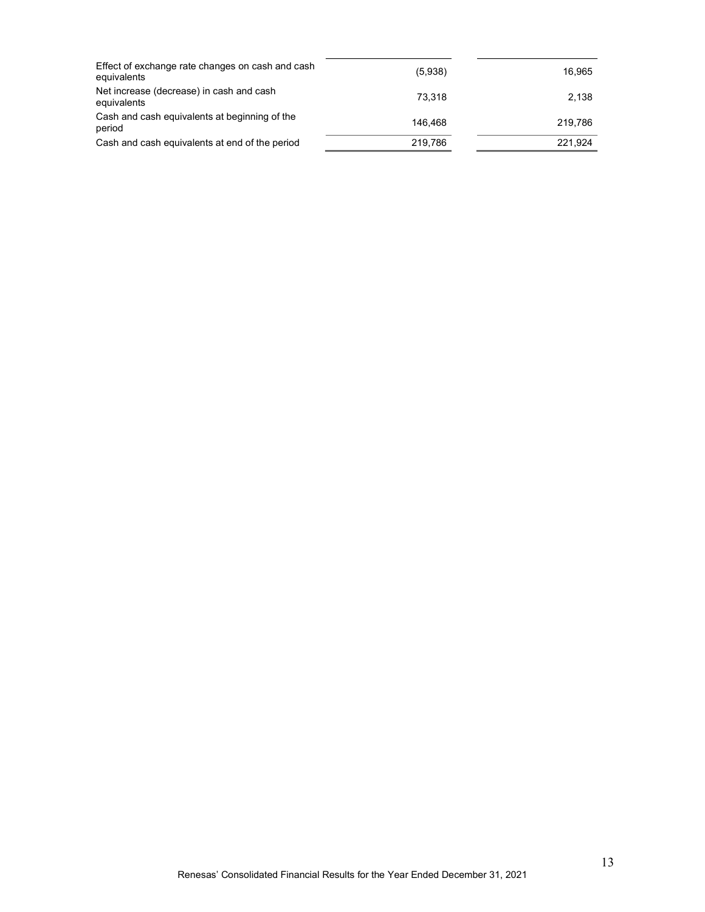| Effect of exchange rate changes on cash and cash<br>equivalents | (5,938) | 16.965  |
|-----------------------------------------------------------------|---------|---------|
| Net increase (decrease) in cash and cash<br>equivalents         | 73.318  | 2,138   |
| Cash and cash equivalents at beginning of the<br>period         | 146.468 | 219.786 |
| Cash and cash equivalents at end of the period                  | 219.786 | 221.924 |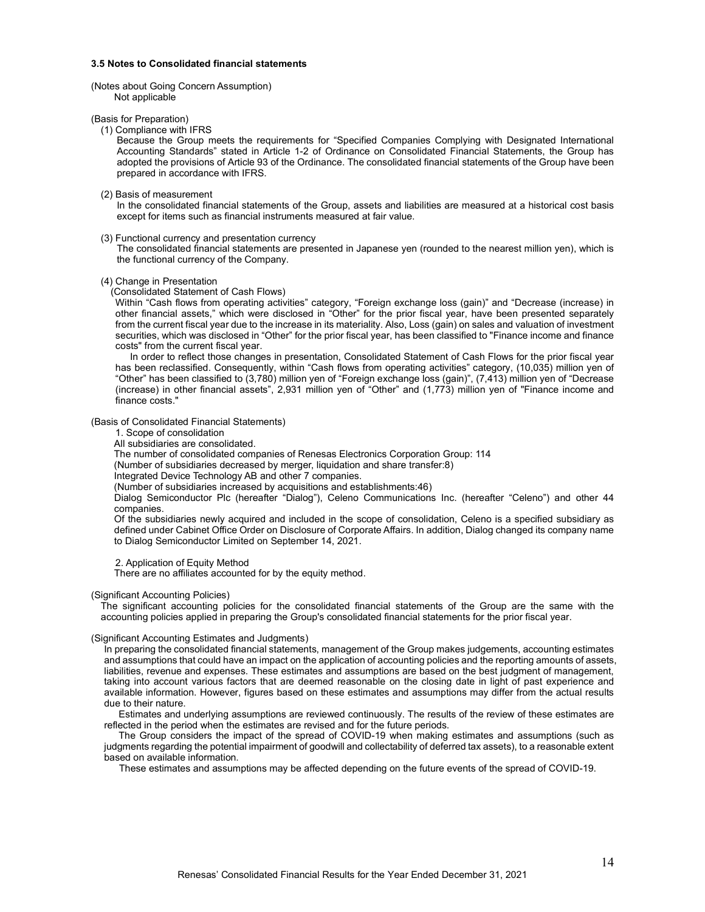#### 3.5 Notes to Consolidated financial statements

#### (Notes about Going Concern Assumption) Not applicable

#### (Basis for Preparation)

#### (1) Compliance with IFRS

Because the Group meets the requirements for "Specified Companies Complying with Designated International Accounting Standards" stated in Article 1-2 of Ordinance on Consolidated Financial Statements, the Group has adopted the provisions of Article 93 of the Ordinance. The consolidated financial statements of the Group have been prepared in accordance with IFRS.

#### (2) Basis of measurement

In the consolidated financial statements of the Group, assets and liabilities are measured at a historical cost basis except for items such as financial instruments measured at fair value.

#### (3) Functional currency and presentation currency

The consolidated financial statements are presented in Japanese yen (rounded to the nearest million yen), which is the functional currency of the Company.

#### (4) Change in Presentation

(Consolidated Statement of Cash Flows)

Within "Cash flows from operating activities" category, "Foreign exchange loss (gain)" and "Decrease (increase) in other financial assets," which were disclosed in "Other" for the prior fiscal year, have been presented separately from the current fiscal year due to the increase in its materiality. Also, Loss (gain) on sales and valuation of investment securities, which was disclosed in "Other" for the prior fiscal year, has been classified to "Finance income and finance costs" from the current fiscal year.

In order to reflect those changes in presentation, Consolidated Statement of Cash Flows for the prior fiscal year has been reclassified. Consequently, within "Cash flows from operating activities" category, (10,035) million yen of "Other" has been classified to (3,780) million yen of "Foreign exchange loss (gain)", (7,413) million yen of "Decrease (increase) in other financial assets", 2,931 million yen of "Other" and (1,773) million yen of "Finance income and finance costs."

#### (Basis of Consolidated Financial Statements)

1. Scope of consolidation

All subsidiaries are consolidated.

The number of consolidated companies of Renesas Electronics Corporation Group: 114

(Number of subsidiaries decreased by merger, liquidation and share transfer:8)

Integrated Device Technology AB and other 7 companies.

(Number of subsidiaries increased by acquisitions and establishments:46)

Dialog Semiconductor Plc (hereafter "Dialog"), Celeno Communications Inc. (hereafter "Celeno") and other 44 companies.

Of the subsidiaries newly acquired and included in the scope of consolidation, Celeno is a specified subsidiary as defined under Cabinet Office Order on Disclosure of Corporate Affairs. In addition, Dialog changed its company name to Dialog Semiconductor Limited on September 14, 2021.

2. Application of Equity Method

There are no affiliates accounted for by the equity method.

#### (Significant Accounting Policies)

The significant accounting policies for the consolidated financial statements of the Group are the same with the accounting policies applied in preparing the Group's consolidated financial statements for the prior fiscal year.

#### (Significant Accounting Estimates and Judgments)

In preparing the consolidated financial statements, management of the Group makes judgements, accounting estimates and assumptions that could have an impact on the application of accounting policies and the reporting amounts of assets, liabilities, revenue and expenses. These estimates and assumptions are based on the best judgment of management, taking into account various factors that are deemed reasonable on the closing date in light of past experience and available information. However, figures based on these estimates and assumptions may differ from the actual results due to their nature.

Estimates and underlying assumptions are reviewed continuously. The results of the review of these estimates are reflected in the period when the estimates are revised and for the future periods.

The Group considers the impact of the spread of COVID-19 when making estimates and assumptions (such as judgments regarding the potential impairment of goodwill and collectability of deferred tax assets), to a reasonable extent based on available information.

These estimates and assumptions may be affected depending on the future events of the spread of COVID-19.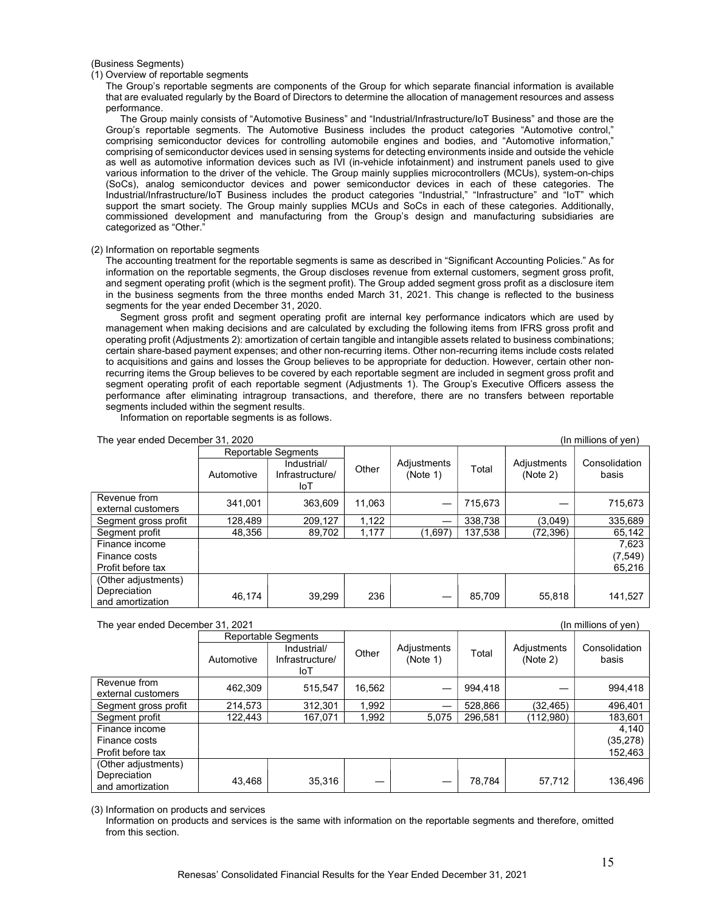(Business Segments)

(1) Overview of reportable segments

The Group's reportable segments are components of the Group for which separate financial information is available that are evaluated regularly by the Board of Directors to determine the allocation of management resources and assess performance.

The Group mainly consists of "Automotive Business" and "Industrial/Infrastructure/IoT Business" and those are the Group's reportable segments. The Automotive Business includes the product categories "Automotive control," comprising semiconductor devices for controlling automobile engines and bodies, and "Automotive information," comprising of semiconductor devices used in sensing systems for detecting environments inside and outside the vehicle as well as automotive information devices such as IVI (in-vehicle infotainment) and instrument panels used to give various information to the driver of the vehicle. The Group mainly supplies microcontrollers (MCUs), system-on-chips (SoCs), analog semiconductor devices and power semiconductor devices in each of these categories. The Industrial/Infrastructure/IoT Business includes the product categories "Industrial," "Infrastructure" and "IoT" which support the smart society. The Group mainly supplies MCUs and SoCs in each of these categories. Additionally, commissioned development and manufacturing from the Group's design and manufacturing subsidiaries are categorized as "Other."

#### (2) Information on reportable segments

The accounting treatment for the reportable segments is same as described in "Significant Accounting Policies." As for information on the reportable segments, the Group discloses revenue from external customers, segment gross profit, and segment operating profit (which is the segment profit). The Group added segment gross profit as a disclosure item in the business segments from the three months ended March 31, 2021. This change is reflected to the business segments for the year ended December 31, 2020.

Segment gross profit and segment operating profit are internal key performance indicators which are used by management when making decisions and are calculated by excluding the following items from IFRS gross profit and operating profit (Adjustments 2): amortization of certain tangible and intangible assets related to business combinations; certain share-based payment expenses; and other non-recurring items. Other non-recurring items include costs related to acquisitions and gains and losses the Group believes to be appropriate for deduction. However, certain other nonrecurring items the Group believes to be covered by each reportable segment are included in segment gross profit and segment operating profit of each reportable segment (Adjustments 1). The Group's Executive Officers assess the performance after eliminating intragroup transactions, and therefore, there are no transfers between reportable segments included within the segment results.

Information on reportable segments is as follows.

| The year ended December 31, 2020   |            |                                       |        |                         | (In millions of ven) |                         |                        |
|------------------------------------|------------|---------------------------------------|--------|-------------------------|----------------------|-------------------------|------------------------|
|                                    |            | <b>Reportable Segments</b>            |        |                         |                      |                         |                        |
|                                    | Automotive | Industrial/<br>Infrastructure/<br>loT | Other  | Adjustments<br>(Note 1) | Total                | Adjustments<br>(Note 2) | Consolidation<br>basis |
| Revenue from<br>external customers | 341.001    | 363.609                               | 11.063 |                         | 715,673              |                         | 715,673                |
| Segment gross profit               | 128.489    | 209.127                               | 1.122  |                         | 338.738              | (3,049)                 | 335,689                |
| Segment profit                     | 48,356     | 89,702                                | 1,177  | (1,697)                 | 137,538              | (72, 396)               | 65,142                 |
| Finance income                     |            |                                       |        |                         |                      |                         | 7,623                  |
| Finance costs                      |            |                                       |        |                         |                      |                         | (7, 549)               |
| Profit before tax                  |            |                                       |        |                         |                      |                         | 65,216                 |
| (Other adjustments)                |            |                                       |        |                         |                      |                         |                        |
| Depreciation<br>and amortization   | 46.174     | 39.299                                | 236    |                         | 85,709               | 55,818                  | 141,527                |

The year ended December 31, 2021 (In millions of yen)

|                      |            | Reportable Segments            |        |                         |         |                         |                        |
|----------------------|------------|--------------------------------|--------|-------------------------|---------|-------------------------|------------------------|
|                      | Automotive | Industrial/<br>Infrastructure/ | Other  | Adjustments<br>(Note 1) | Total   | Adjustments<br>(Note 2) | Consolidation<br>basis |
|                      |            | loT                            |        |                         |         |                         |                        |
| Revenue from         |            |                                |        |                         |         |                         |                        |
| external customers   | 462,309    | 515,547                        | 16,562 |                         | 994,418 |                         | 994,418                |
| Segment gross profit | 214,573    | 312,301                        | 1,992  |                         | 528,866 | (32, 465)               | 496,401                |
| Segment profit       | 122,443    | 167,071                        | 1,992  | 5,075                   | 296,581 | (112,980)               | 183,601                |
| Finance income       |            |                                |        |                         |         |                         | 4.140                  |
| Finance costs        |            |                                |        |                         |         |                         | (35, 278)              |
| Profit before tax    |            |                                |        |                         |         |                         | 152,463                |
| (Other adjustments)  |            |                                |        |                         |         |                         |                        |
| Depreciation         | 43,468     | 35,316                         |        |                         | 78,784  | 57,712                  | 136,496                |
| and amortization     |            |                                |        |                         |         |                         |                        |

(3) Information on products and services

Information on products and services is the same with information on the reportable segments and therefore, omitted from this section.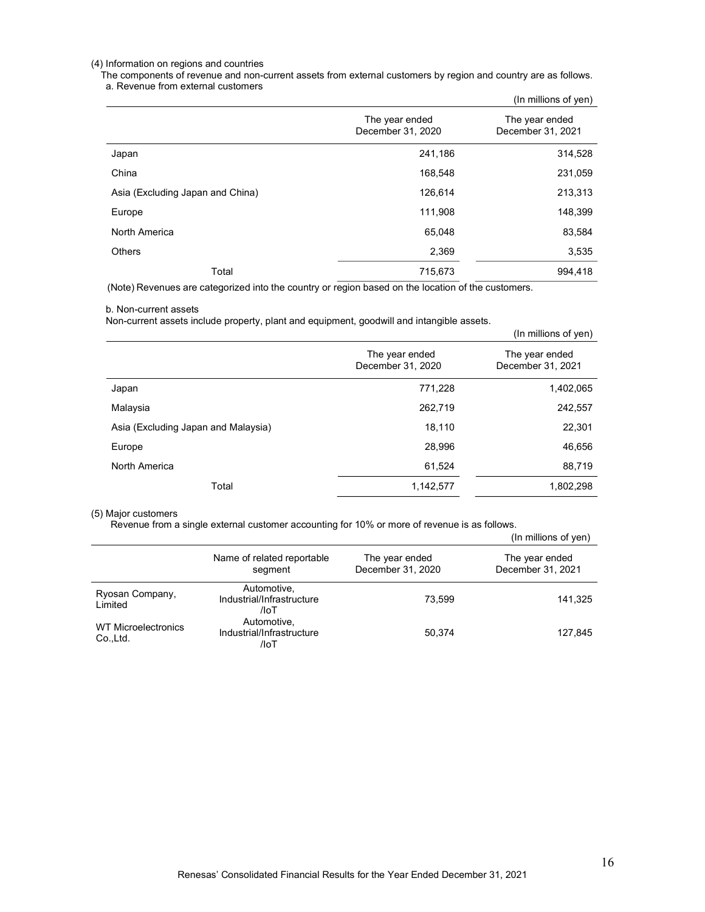### (4) Information on regions and countries

The components of revenue and non-current assets from external customers by region and country are as follows. a. Revenue from external customers

|                                  |                                     | (In millions of yen)                |
|----------------------------------|-------------------------------------|-------------------------------------|
|                                  | The year ended<br>December 31, 2020 | The year ended<br>December 31, 2021 |
| Japan                            | 241,186                             | 314,528                             |
| China                            | 168,548                             | 231,059                             |
| Asia (Excluding Japan and China) | 126,614                             | 213,313                             |
| Europe                           | 111,908                             | 148,399                             |
| North America                    | 65,048                              | 83,584                              |
| <b>Others</b>                    | 2,369                               | 3,535                               |
| Total                            | 715,673                             | 994.418                             |

(Note) Revenues are categorized into the country or region based on the location of the customers.

#### b. Non-current assets

Non-current assets include property, plant and equipment, goodwill and intangible assets.

| The year ended<br>December 31, 2020 | The year ended<br>December 31, 2021 |
|-------------------------------------|-------------------------------------|
| 771,228                             | 1,402,065                           |
| 262,719                             | 242,557                             |
| 18,110                              | 22,301                              |
| 28,996                              | 46,656                              |
| 61,524                              | 88,719                              |
| 1,142,577                           | 1,802,298                           |
|                                     |                                     |

#### (5) Major customers

Revenue from a single external customer accounting for 10% or more of revenue is as follows.

|                                  |                                                  |                                     | (In millions of yen)                |
|----------------------------------|--------------------------------------------------|-------------------------------------|-------------------------------------|
|                                  | Name of related reportable<br>segment            | The year ended<br>December 31, 2020 | The year ended<br>December 31, 2021 |
| Ryosan Company,<br>Limited       | Automotive,<br>Industrial/Infrastructure<br>/loT | 73.599                              | 141,325                             |
| WT Microelectronics<br>Co., Ltd. | Automotive,<br>Industrial/Infrastructure<br>/loT | 50.374                              | 127,845                             |

(In millions of yen)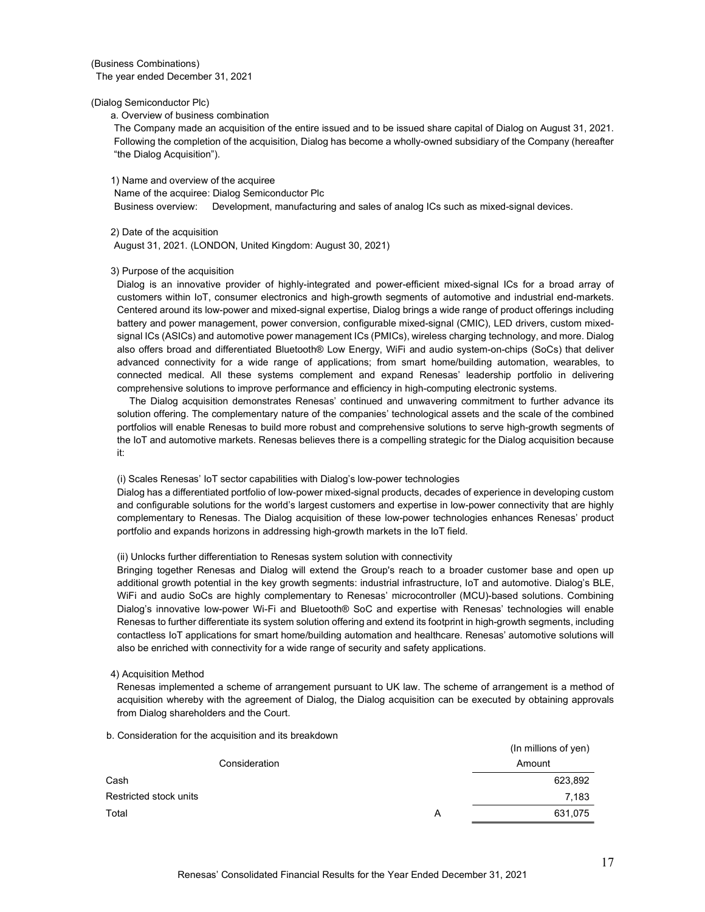(Business Combinations) The year ended December 31, 2021

(Dialog Semiconductor Plc)

a. Overview of business combination

The Company made an acquisition of the entire issued and to be issued share capital of Dialog on August 31, 2021. Following the completion of the acquisition, Dialog has become a wholly-owned subsidiary of the Company (hereafter "the Dialog Acquisition").

1) Name and overview of the acquiree

Name of the acquiree: Dialog Semiconductor Plc Business overview: Development, manufacturing and sales of analog ICs such as mixed-signal devices.

2) Date of the acquisition

August 31, 2021. (LONDON, United Kingdom: August 30, 2021)

#### 3) Purpose of the acquisition

Dialog is an innovative provider of highly-integrated and power-efficient mixed-signal ICs for a broad array of customers within IoT, consumer electronics and high-growth segments of automotive and industrial end-markets. Centered around its low-power and mixed-signal expertise, Dialog brings a wide range of product offerings including battery and power management, power conversion, configurable mixed-signal (CMIC), LED drivers, custom mixedsignal ICs (ASICs) and automotive power management ICs (PMICs), wireless charging technology, and more. Dialog also offers broad and differentiated Bluetooth® Low Energy, WiFi and audio system-on-chips (SoCs) that deliver advanced connectivity for a wide range of applications; from smart home/building automation, wearables, to connected medical. All these systems complement and expand Renesas' leadership portfolio in delivering comprehensive solutions to improve performance and efficiency in high-computing electronic systems.

 The Dialog acquisition demonstrates Renesas' continued and unwavering commitment to further advance its solution offering. The complementary nature of the companies' technological assets and the scale of the combined portfolios will enable Renesas to build more robust and comprehensive solutions to serve high-growth segments of the IoT and automotive markets. Renesas believes there is a compelling strategic for the Dialog acquisition because it:

(i) Scales Renesas' IoT sector capabilities with Dialog's low-power technologies

Dialog has a differentiated portfolio of low-power mixed-signal products, decades of experience in developing custom and configurable solutions for the world's largest customers and expertise in low-power connectivity that are highly complementary to Renesas. The Dialog acquisition of these low-power technologies enhances Renesas' product portfolio and expands horizons in addressing high-growth markets in the IoT field.

#### (ii) Unlocks further differentiation to Renesas system solution with connectivity

Bringing together Renesas and Dialog will extend the Group's reach to a broader customer base and open up additional growth potential in the key growth segments: industrial infrastructure, IoT and automotive. Dialog's BLE, WiFi and audio SoCs are highly complementary to Renesas' microcontroller (MCU)-based solutions. Combining Dialog's innovative low-power Wi-Fi and Bluetooth® SoC and expertise with Renesas' technologies will enable Renesas to further differentiate its system solution offering and extend its footprint in high-growth segments, including contactless IoT applications for smart home/building automation and healthcare. Renesas' automotive solutions will also be enriched with connectivity for a wide range of security and safety applications.

4) Acquisition Method

Renesas implemented a scheme of arrangement pursuant to UK law. The scheme of arrangement is a method of acquisition whereby with the agreement of Dialog, the Dialog acquisition can be executed by obtaining approvals from Dialog shareholders and the Court.

b. Consideration for the acquisition and its breakdown

|                        |               |   | (In millions of yen) |
|------------------------|---------------|---|----------------------|
|                        | Consideration |   | Amount               |
| Cash                   |               |   | 623,892              |
| Restricted stock units |               |   | 7,183                |
| Total                  |               | Α | 631,075              |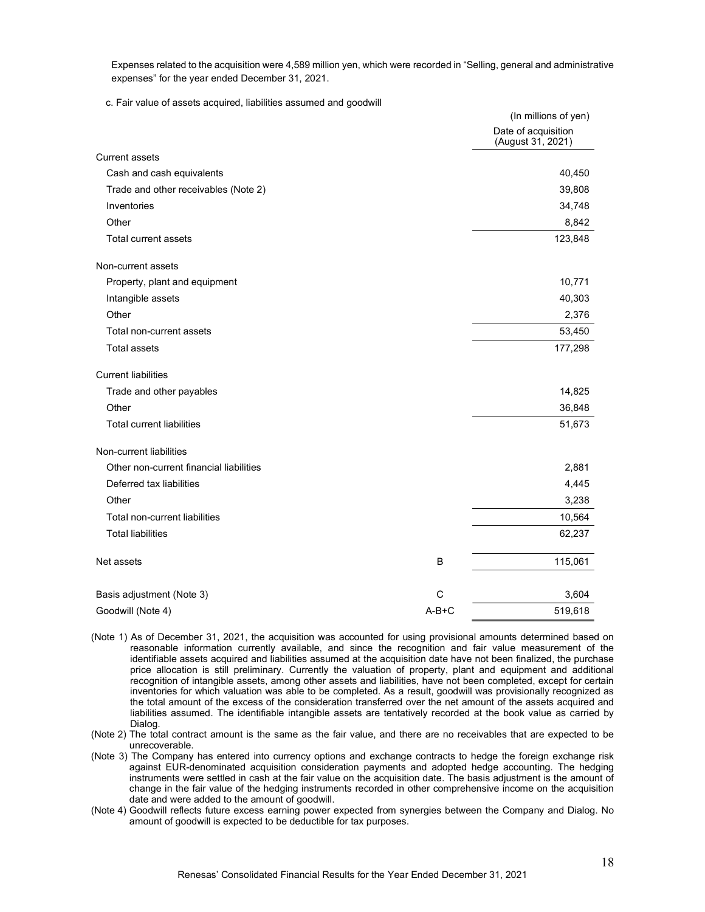Expenses related to the acquisition were 4,589 million yen, which were recorded in "Selling, general and administrative expenses" for the year ended December 31, 2021.

c. Fair value of assets acquired, liabilities assumed and goodwill

|                                         |         | (In millions of yen)                     |
|-----------------------------------------|---------|------------------------------------------|
|                                         |         | Date of acquisition<br>(August 31, 2021) |
| <b>Current assets</b>                   |         |                                          |
| Cash and cash equivalents               |         | 40,450                                   |
| Trade and other receivables (Note 2)    |         | 39,808                                   |
| Inventories                             |         | 34,748                                   |
| Other                                   |         | 8,842                                    |
| <b>Total current assets</b>             |         | 123,848                                  |
| Non-current assets                      |         |                                          |
| Property, plant and equipment           |         | 10,771                                   |
| Intangible assets                       |         | 40,303                                   |
| Other                                   |         | 2,376                                    |
| Total non-current assets                |         | 53,450                                   |
| <b>Total assets</b>                     |         | 177,298                                  |
| <b>Current liabilities</b>              |         |                                          |
| Trade and other payables                |         | 14,825                                   |
| Other                                   |         | 36,848                                   |
| <b>Total current liabilities</b>        |         | 51,673                                   |
| Non-current liabilities                 |         |                                          |
| Other non-current financial liabilities |         | 2,881                                    |
| Deferred tax liabilities                |         | 4,445                                    |
| Other                                   |         | 3,238                                    |
| Total non-current liabilities           |         | 10,564                                   |
| <b>Total liabilities</b>                |         | 62,237                                   |
| Net assets                              | B       | 115,061                                  |
| Basis adjustment (Note 3)               | C       | 3,604                                    |
|                                         | $A-B+C$ |                                          |
| Goodwill (Note 4)                       |         | 519,618                                  |

- (Note 1) As of December 31, 2021, the acquisition was accounted for using provisional amounts determined based on reasonable information currently available, and since the recognition and fair value measurement of the identifiable assets acquired and liabilities assumed at the acquisition date have not been finalized, the purchase price allocation is still preliminary. Currently the valuation of property, plant and equipment and additional recognition of intangible assets, among other assets and liabilities, have not been completed, except for certain inventories for which valuation was able to be completed. As a result, goodwill was provisionally recognized as the total amount of the excess of the consideration transferred over the net amount of the assets acquired and liabilities assumed. The identifiable intangible assets are tentatively recorded at the book value as carried by Dialog.
- (Note 2) The total contract amount is the same as the fair value, and there are no receivables that are expected to be unrecoverable.
- (Note 3) The Company has entered into currency options and exchange contracts to hedge the foreign exchange risk against EUR-denominated acquisition consideration payments and adopted hedge accounting. The hedging instruments were settled in cash at the fair value on the acquisition date. The basis adjustment is the amount of change in the fair value of the hedging instruments recorded in other comprehensive income on the acquisition date and were added to the amount of goodwill.
- (Note 4) Goodwill reflects future excess earning power expected from synergies between the Company and Dialog. No amount of goodwill is expected to be deductible for tax purposes.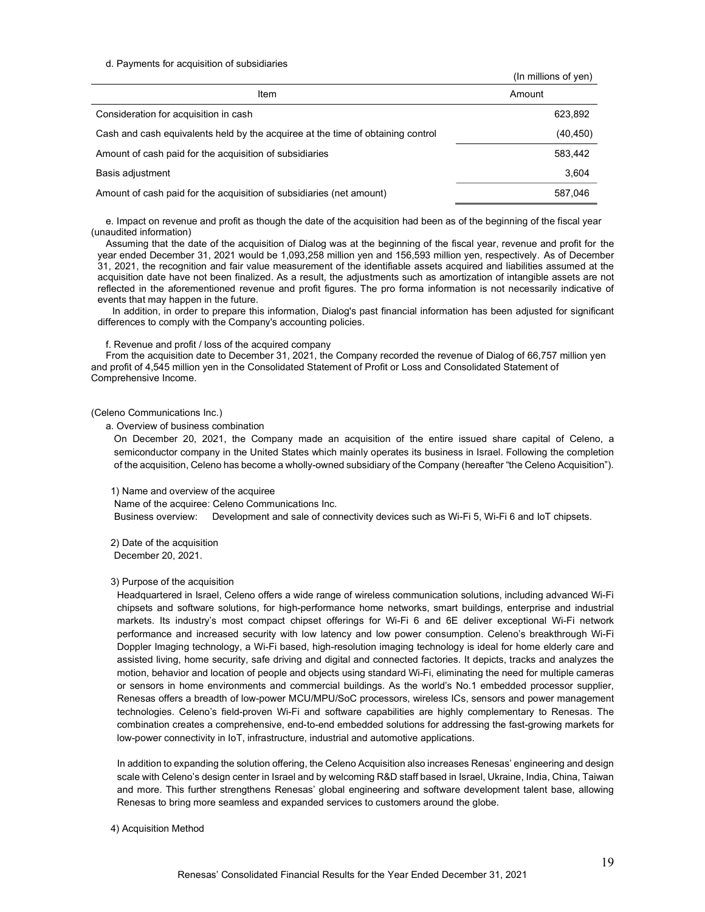#### d. Payments for acquisition of subsidiaries

| Item                                                                            | Amount    |
|---------------------------------------------------------------------------------|-----------|
| Consideration for acquisition in cash                                           | 623,892   |
| Cash and cash equivalents held by the acquiree at the time of obtaining control | (40, 450) |
| Amount of cash paid for the acquisition of subsidiaries                         | 583,442   |
| Basis adjustment                                                                | 3,604     |
| Amount of cash paid for the acquisition of subsidiaries (net amount)            | 587.046   |

e. Impact on revenue and profit as though the date of the acquisition had been as of the beginning of the fiscal year (unaudited information)

Assuming that the date of the acquisition of Dialog was at the beginning of the fiscal year, revenue and profit for the year ended December 31, 2021 would be 1,093,258 million yen and 156,593 million yen, respectively. As of December 31, 2021, the recognition and fair value measurement of the identifiable assets acquired and liabilities assumed at the acquisition date have not been finalized. As a result, the adjustments such as amortization of intangible assets are not reflected in the aforementioned revenue and profit figures. The pro forma information is not necessarily indicative of events that may happen in the future.

In addition, in order to prepare this information, Dialog's past financial information has been adjusted for significant differences to comply with the Company's accounting policies.

#### f. Revenue and profit / loss of the acquired company

From the acquisition date to December 31, 2021, the Company recorded the revenue of Dialog of 66,757 million yen and profit of 4,545 million yen in the Consolidated Statement of Profit or Loss and Consolidated Statement of Comprehensive Income.

(Celeno Communications Inc.)

a. Overview of business combination

On December 20, 2021, the Company made an acquisition of the entire issued share capital of Celeno, a semiconductor company in the United States which mainly operates its business in Israel. Following the completion of the acquisition, Celeno has become a wholly-owned subsidiary of the Company (hereafter "the Celeno Acquisition").

1) Name and overview of the acquiree

Name of the acquiree: Celeno Communications Inc.

Business overview: Development and sale of connectivity devices such as Wi-Fi 5, Wi-Fi 6 and IoT chipsets.

2) Date of the acquisition December 20, 2021.

#### 3) Purpose of the acquisition

Headquartered in Israel, Celeno offers a wide range of wireless communication solutions, including advanced Wi-Fi chipsets and software solutions, for high-performance home networks, smart buildings, enterprise and industrial markets. Its industry's most compact chipset offerings for Wi-Fi 6 and 6E deliver exceptional Wi-Fi network performance and increased security with low latency and low power consumption. Celeno's breakthrough Wi-Fi Doppler Imaging technology, a Wi-Fi based, high-resolution imaging technology is ideal for home elderly care and assisted living, home security, safe driving and digital and connected factories. It depicts, tracks and analyzes the motion, behavior and location of people and objects using standard Wi-Fi, eliminating the need for multiple cameras or sensors in home environments and commercial buildings. As the world's No.1 embedded processor supplier, Renesas offers a breadth of low-power MCU/MPU/SoC processors, wireless ICs, sensors and power management technologies. Celeno's field-proven Wi-Fi and software capabilities are highly complementary to Renesas. The combination creates a comprehensive, end-to-end embedded solutions for addressing the fast-growing markets for low-power connectivity in IoT, infrastructure, industrial and automotive applications.

In addition to expanding the solution offering, the Celeno Acquisition also increases Renesas' engineering and design scale with Celeno's design center in Israel and by welcoming R&D staff based in Israel, Ukraine, India, China, Taiwan and more. This further strengthens Renesas' global engineering and software development talent base, allowing Renesas to bring more seamless and expanded services to customers around the globe.

#### 4) Acquisition Method

 $($ In millions of  $($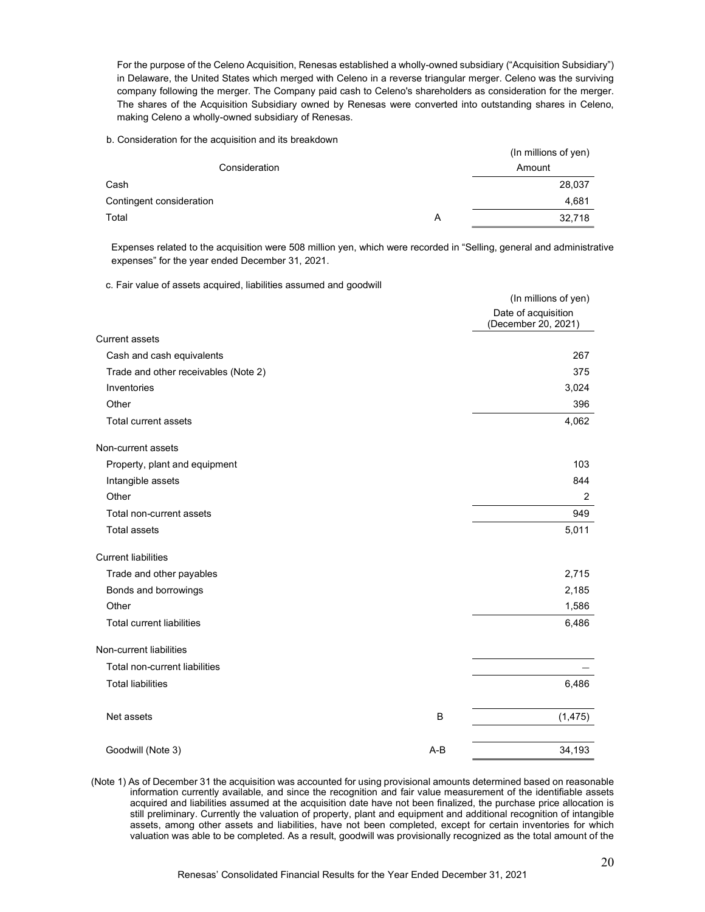For the purpose of the Celeno Acquisition, Renesas established a wholly-owned subsidiary ("Acquisition Subsidiary") in Delaware, the United States which merged with Celeno in a reverse triangular merger. Celeno was the surviving company following the merger. The Company paid cash to Celeno's shareholders as consideration for the merger. The shares of the Acquisition Subsidiary owned by Renesas were converted into outstanding shares in Celeno, making Celeno a wholly-owned subsidiary of Renesas.

#### b. Consideration for the acquisition and its breakdown

|                          |   | (In millions of yen) |
|--------------------------|---|----------------------|
| Consideration            |   | Amount               |
| Cash                     |   | 28,037               |
| Contingent consideration |   | 4,681                |
| Total                    | Α | 32,718               |

Expenses related to the acquisition were 508 million yen, which were recorded in "Selling, general and administrative expenses" for the year ended December 31, 2021.

c. Fair value of assets acquired, liabilities assumed and goodwill

|                                      |       | (In millions of yen)                       |
|--------------------------------------|-------|--------------------------------------------|
|                                      |       | Date of acquisition<br>(December 20, 2021) |
| <b>Current assets</b>                |       |                                            |
| Cash and cash equivalents            |       | 267                                        |
| Trade and other receivables (Note 2) |       | 375                                        |
| Inventories                          |       | 3,024                                      |
| Other                                |       | 396                                        |
| <b>Total current assets</b>          |       | 4,062                                      |
| Non-current assets                   |       |                                            |
| Property, plant and equipment        |       | 103                                        |
| Intangible assets                    |       | 844                                        |
| Other                                |       | $\overline{2}$                             |
| Total non-current assets             |       | 949                                        |
| <b>Total assets</b>                  |       | 5,011                                      |
| <b>Current liabilities</b>           |       |                                            |
| Trade and other payables             |       | 2,715                                      |
| Bonds and borrowings                 |       | 2,185                                      |
| Other                                |       | 1,586                                      |
| <b>Total current liabilities</b>     |       | 6,486                                      |
| Non-current liabilities              |       |                                            |
| Total non-current liabilities        |       |                                            |
| <b>Total liabilities</b>             |       | 6,486                                      |
| Net assets                           | B     | (1, 475)                                   |
| Goodwill (Note 3)                    | $A-B$ | 34,193                                     |

(Note 1) As of December 31 the acquisition was accounted for using provisional amounts determined based on reasonable information currently available, and since the recognition and fair value measurement of the identifiable assets acquired and liabilities assumed at the acquisition date have not been finalized, the purchase price allocation is still preliminary. Currently the valuation of property, plant and equipment and additional recognition of intangible assets, among other assets and liabilities, have not been completed, except for certain inventories for which valuation was able to be completed. As a result, goodwill was provisionally recognized as the total amount of the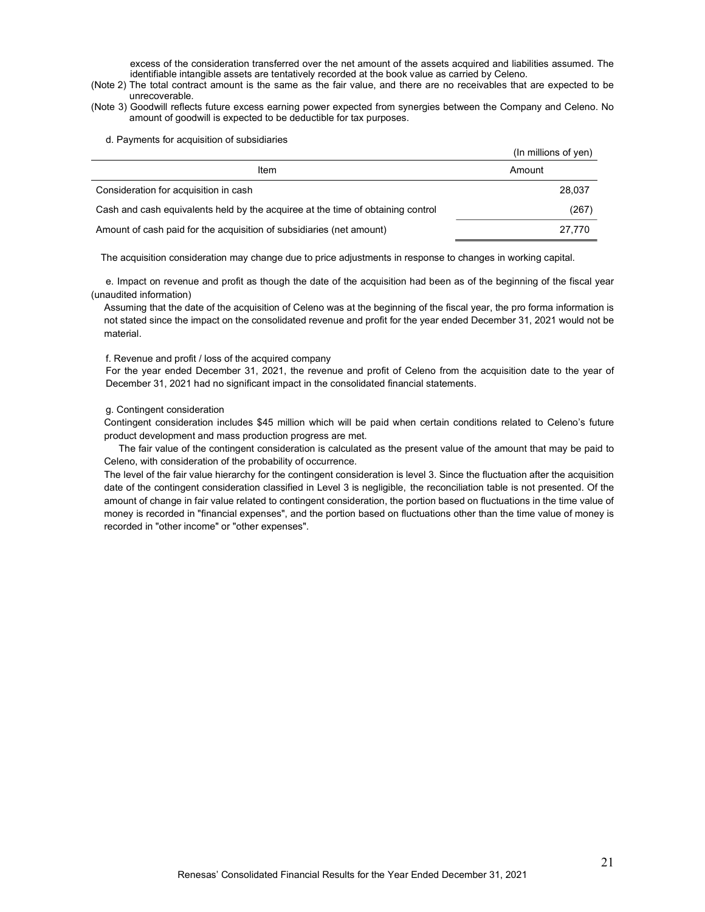excess of the consideration transferred over the net amount of the assets acquired and liabilities assumed. The identifiable intangible assets are tentatively recorded at the book value as carried by Celeno.

- (Note 2) The total contract amount is the same as the fair value, and there are no receivables that are expected to be unrecoverable.
- (Note 3) Goodwill reflects future excess earning power expected from synergies between the Company and Celeno. No amount of goodwill is expected to be deductible for tax purposes.

d. Payments for acquisition of subsidiaries

|                                                                                 | (In millions of yen) |
|---------------------------------------------------------------------------------|----------------------|
| Item                                                                            | Amount               |
| Consideration for acquisition in cash                                           | 28.037               |
| Cash and cash equivalents held by the acquiree at the time of obtaining control | (267)                |
| Amount of cash paid for the acquisition of subsidiaries (net amount)            | 27.770               |

The acquisition consideration may change due to price adjustments in response to changes in working capital.

e. Impact on revenue and profit as though the date of the acquisition had been as of the beginning of the fiscal year (unaudited information)

Assuming that the date of the acquisition of Celeno was at the beginning of the fiscal year, the pro forma information is not stated since the impact on the consolidated revenue and profit for the year ended December 31, 2021 would not be material.

#### f. Revenue and profit / loss of the acquired company

For the year ended December 31, 2021, the revenue and profit of Celeno from the acquisition date to the year of December 31, 2021 had no significant impact in the consolidated financial statements.

#### g. Contingent consideration

Contingent consideration includes \$45 million which will be paid when certain conditions related to Celeno's future product development and mass production progress are met.

The fair value of the contingent consideration is calculated as the present value of the amount that may be paid to Celeno, with consideration of the probability of occurrence.

The level of the fair value hierarchy for the contingent consideration is level 3. Since the fluctuation after the acquisition date of the contingent consideration classified in Level 3 is negligible, the reconciliation table is not presented. Of the amount of change in fair value related to contingent consideration, the portion based on fluctuations in the time value of money is recorded in "financial expenses", and the portion based on fluctuations other than the time value of money is recorded in "other income" or "other expenses".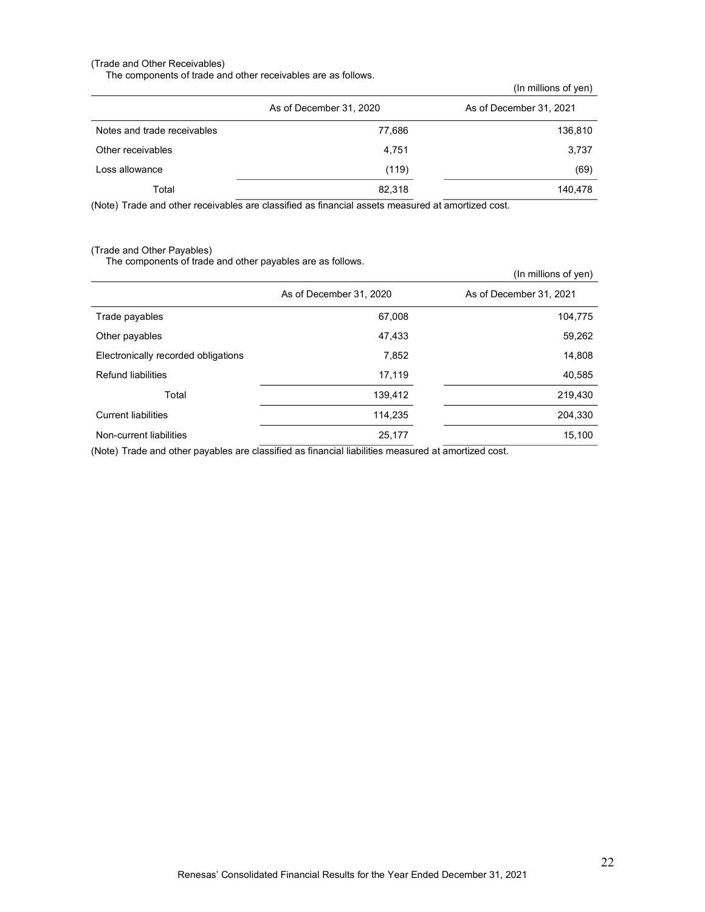## (Trade and Other Receivables)

The components of trade and other receivables are as follows.

(In millions of yen)

|                             | As of December 31, 2020 | As of December 31, 2021 |
|-----------------------------|-------------------------|-------------------------|
| Notes and trade receivables | 77,686                  | 136,810                 |
| Other receivables           | 4.751                   | 3,737                   |
| Loss allowance              | (119)                   | (69)                    |
| Total                       | 82,318                  | 140,478                 |
|                             |                         |                         |

(Note) Trade and other receivables are classified as financial assets measured at amortized cost.

# (Trade and Other Payables)

The components of trade and other payables are as follows.

|                                     |                         | (In millions of yen)    |
|-------------------------------------|-------------------------|-------------------------|
|                                     | As of December 31, 2020 | As of December 31, 2021 |
| Trade payables                      | 67,008                  | 104,775                 |
| Other payables                      | 47,433                  | 59,262                  |
| Electronically recorded obligations | 7,852                   | 14,808                  |
| Refund liabilities                  | 17,119                  | 40,585                  |
| Total                               | 139,412                 | 219,430                 |
| <b>Current liabilities</b>          | 114,235                 | 204,330                 |
| Non-current liabilities             | 25,177                  | 15,100                  |

(Note) Trade and other payables are classified as financial liabilities measured at amortized cost.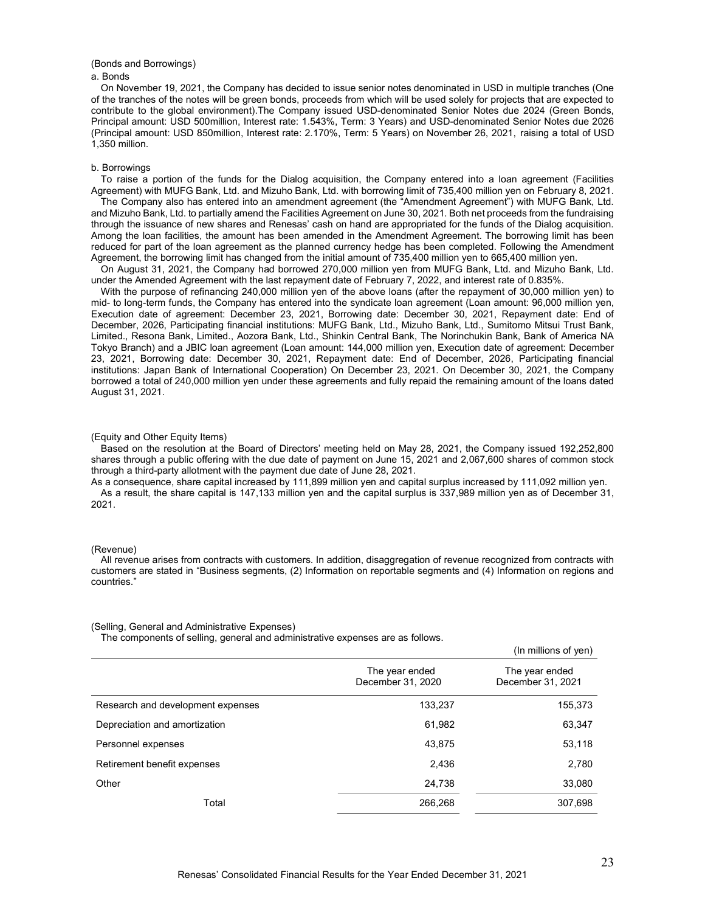#### (Bonds and Borrowings) a. Bonds

On November 19, 2021, the Company has decided to issue senior notes denominated in USD in multiple tranches (One of the tranches of the notes will be green bonds, proceeds from which will be used solely for projects that are expected to contribute to the global environment).The Company issued USD-denominated Senior Notes due 2024 (Green Bonds, Principal amount: USD 500million, Interest rate: 1.543%, Term: 3 Years) and USD-denominated Senior Notes due 2026 (Principal amount: USD 850million, Interest rate: 2.170%, Term: 5 Years) on November 26, 2021, raising a total of USD 1,350 million.

#### b. Borrowings

To raise a portion of the funds for the Dialog acquisition, the Company entered into a loan agreement (Facilities Agreement) with MUFG Bank, Ltd. and Mizuho Bank, Ltd. with borrowing limit of 735,400 million yen on February 8, 2021.

The Company also has entered into an amendment agreement (the "Amendment Agreement") with MUFG Bank, Ltd. and Mizuho Bank, Ltd. to partially amend the Facilities Agreement on June 30, 2021. Both net proceeds from the fundraising through the issuance of new shares and Renesas' cash on hand are appropriated for the funds of the Dialog acquisition. Among the loan facilities, the amount has been amended in the Amendment Agreement. The borrowing limit has been reduced for part of the loan agreement as the planned currency hedge has been completed. Following the Amendment Agreement, the borrowing limit has changed from the initial amount of 735,400 million yen to 665,400 million yen.

On August 31, 2021, the Company had borrowed 270,000 million yen from MUFG Bank, Ltd. and Mizuho Bank, Ltd. under the Amended Agreement with the last repayment date of February 7, 2022, and interest rate of 0.835%.

With the purpose of refinancing 240,000 million yen of the above loans (after the repayment of 30,000 million yen) to mid- to long-term funds, the Company has entered into the syndicate loan agreement (Loan amount: 96,000 million yen, Execution date of agreement: December 23, 2021, Borrowing date: December 30, 2021, Repayment date: End of December, 2026, Participating financial institutions: MUFG Bank, Ltd., Mizuho Bank, Ltd., Sumitomo Mitsui Trust Bank, Limited., Resona Bank, Limited., Aozora Bank, Ltd., Shinkin Central Bank, The Norinchukin Bank, Bank of America NA Tokyo Branch) and a JBIC loan agreement (Loan amount: 144,000 million yen, Execution date of agreement: December 23, 2021, Borrowing date: December 30, 2021, Repayment date: End of December, 2026, Participating financial institutions: Japan Bank of International Cooperation) On December 23, 2021. On December 30, 2021, the Company borrowed a total of 240,000 million yen under these agreements and fully repaid the remaining amount of the loans dated August 31, 2021.

#### (Equity and Other Equity Items)

Based on the resolution at the Board of Directors' meeting held on May 28, 2021, the Company issued 192,252,800 shares through a public offering with the due date of payment on June 15, 2021 and 2,067,600 shares of common stock through a third-party allotment with the payment due date of June 28, 2021.

As a consequence, share capital increased by 111,899 million yen and capital surplus increased by 111,092 million yen. As a result, the share capital is 147,133 million yen and the capital surplus is 337,989 million yen as of December 31, 2021.

#### (Revenue)

All revenue arises from contracts with customers. In addition, disaggregation of revenue recognized from contracts with customers are stated in "Business segments, (2) Information on reportable segments and (4) Information on regions and countries."

#### (Selling, General and Administrative Expenses)

The components of selling, general and administrative expenses are as follows.

|                                   |                                     | (In millions of yen)                |
|-----------------------------------|-------------------------------------|-------------------------------------|
|                                   | The year ended<br>December 31, 2020 | The year ended<br>December 31, 2021 |
| Research and development expenses | 133,237                             | 155,373                             |
| Depreciation and amortization     | 61,982                              | 63,347                              |
| Personnel expenses                | 43,875                              | 53,118                              |
| Retirement benefit expenses       | 2,436                               | 2,780                               |
| Other                             | 24,738                              | 33,080                              |
| Total                             | 266,268                             | 307,698                             |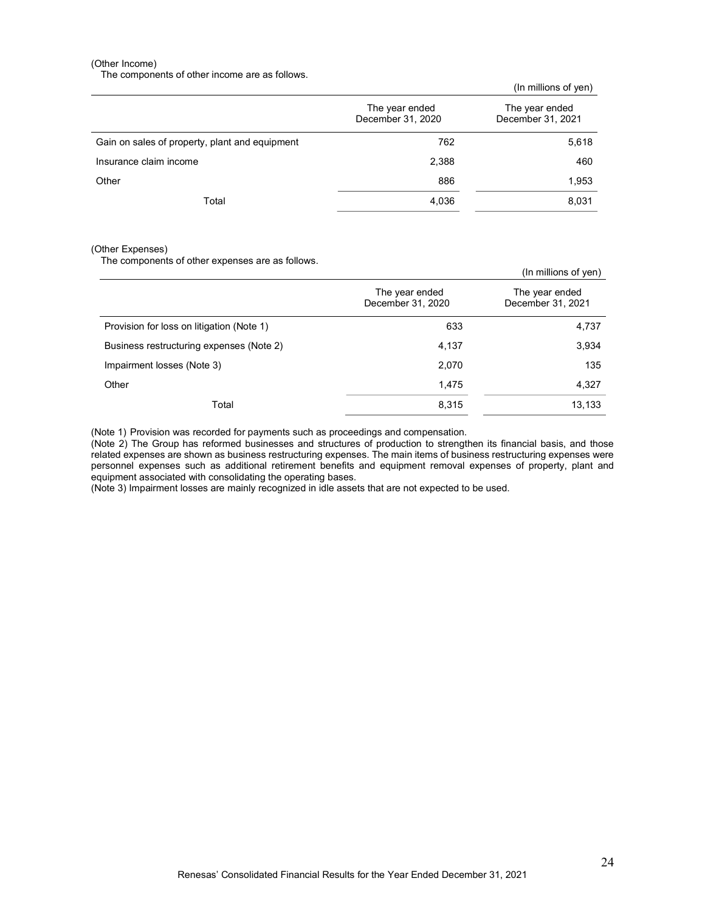#### (Other Income)

The components of other income are as follows.

(In millions of yen)

|                                                | The year ended<br>December 31, 2020 | The year ended<br>December 31, 2021 |
|------------------------------------------------|-------------------------------------|-------------------------------------|
| Gain on sales of property, plant and equipment | 762                                 | 5,618                               |
| Insurance claim income                         | 2,388                               | 460                                 |
| Other                                          | 886                                 | 1,953                               |
| Total                                          | 4,036                               | 8,031                               |

#### (Other Expenses)

The components of other expenses are as follows.

|                                           |                                     | (In millions of yen)                |
|-------------------------------------------|-------------------------------------|-------------------------------------|
|                                           | The year ended<br>December 31, 2020 | The year ended<br>December 31, 2021 |
| Provision for loss on litigation (Note 1) | 633                                 | 4,737                               |
| Business restructuring expenses (Note 2)  | 4,137                               | 3,934                               |
| Impairment losses (Note 3)                | 2,070                               | 135                                 |
| Other                                     | 1,475                               | 4,327                               |
| Total                                     | 8,315                               | 13,133                              |

(Note 1) Provision was recorded for payments such as proceedings and compensation.

(Note 2) The Group has reformed businesses and structures of production to strengthen its financial basis, and those related expenses are shown as business restructuring expenses. The main items of business restructuring expenses were personnel expenses such as additional retirement benefits and equipment removal expenses of property, plant and equipment associated with consolidating the operating bases.

(Note 3) Impairment losses are mainly recognized in idle assets that are not expected to be used.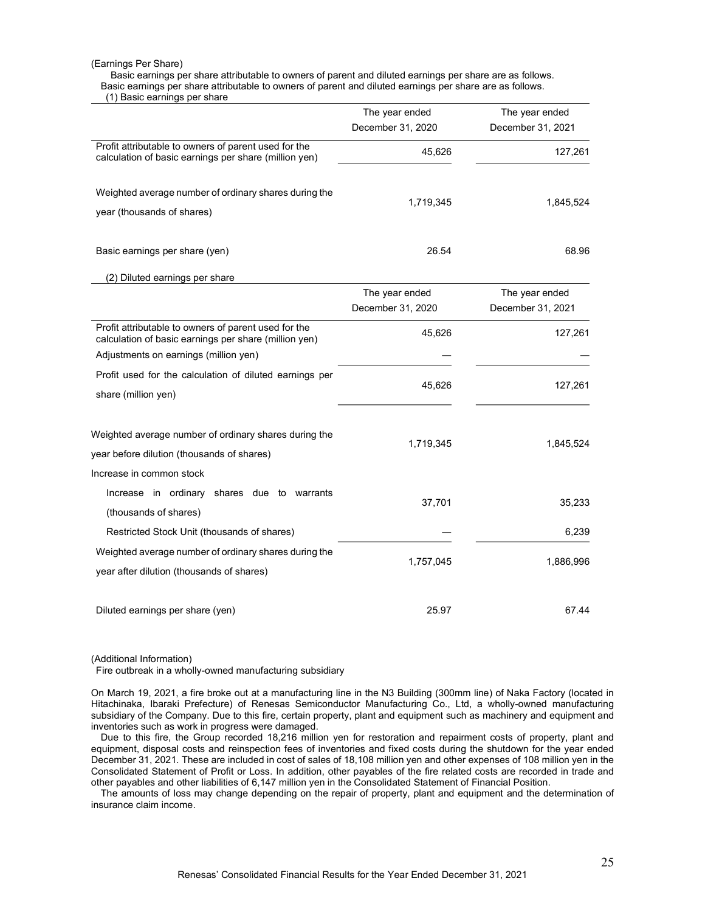#### (Earnings Per Share)

Basic earnings per share attributable to owners of parent and diluted earnings per share are as follows. Basic earnings per share attributable to owners of parent and diluted earnings per share are as follows.

(1) Basic earnings per share

|                                                                                                               | The year ended<br>December 31, 2020 | The year ended<br>December 31, 2021 |
|---------------------------------------------------------------------------------------------------------------|-------------------------------------|-------------------------------------|
| Profit attributable to owners of parent used for the                                                          |                                     |                                     |
| calculation of basic earnings per share (million yen)                                                         | 45,626                              | 127,261                             |
| Weighted average number of ordinary shares during the<br>year (thousands of shares)                           | 1,719,345                           | 1,845,524                           |
| Basic earnings per share (yen)                                                                                | 26.54                               | 68.96                               |
| (2) Diluted earnings per share                                                                                |                                     |                                     |
|                                                                                                               | The year ended                      | The year ended                      |
|                                                                                                               | December 31, 2020                   | December 31, 2021                   |
| Profit attributable to owners of parent used for the<br>calculation of basic earnings per share (million yen) | 45,626                              | 127,261                             |
| Adjustments on earnings (million yen)                                                                         |                                     |                                     |
| Profit used for the calculation of diluted earnings per<br>share (million yen)                                | 45,626                              | 127,261                             |
|                                                                                                               |                                     |                                     |
| Weighted average number of ordinary shares during the<br>year before dilution (thousands of shares)           | 1,719,345                           | 1,845,524                           |
| Increase in common stock                                                                                      |                                     |                                     |
| Increase in ordinary<br>shares due to warrants<br>(thousands of shares)                                       | 37,701                              | 35,233                              |
| Restricted Stock Unit (thousands of shares)                                                                   |                                     | 6,239                               |
| Weighted average number of ordinary shares during the<br>year after dilution (thousands of shares)            | 1,757,045                           | 1,886,996                           |
| Diluted earnings per share (yen)                                                                              | 25.97                               | 67.44                               |

(Additional Information)

Fire outbreak in a wholly-owned manufacturing subsidiary

On March 19, 2021, a fire broke out at a manufacturing line in the N3 Building (300mm line) of Naka Factory (located in Hitachinaka, Ibaraki Prefecture) of Renesas Semiconductor Manufacturing Co., Ltd, a wholly-owned manufacturing subsidiary of the Company. Due to this fire, certain property, plant and equipment such as machinery and equipment and inventories such as work in progress were damaged.

Due to this fire, the Group recorded 18,216 million yen for restoration and repairment costs of property, plant and equipment, disposal costs and reinspection fees of inventories and fixed costs during the shutdown for the year ended December 31, 2021. These are included in cost of sales of 18,108 million yen and other expenses of 108 million yen in the Consolidated Statement of Profit or Loss. In addition, other payables of the fire related costs are recorded in trade and other payables and other liabilities of 6,147 million yen in the Consolidated Statement of Financial Position.

The amounts of loss may change depending on the repair of property, plant and equipment and the determination of insurance claim income.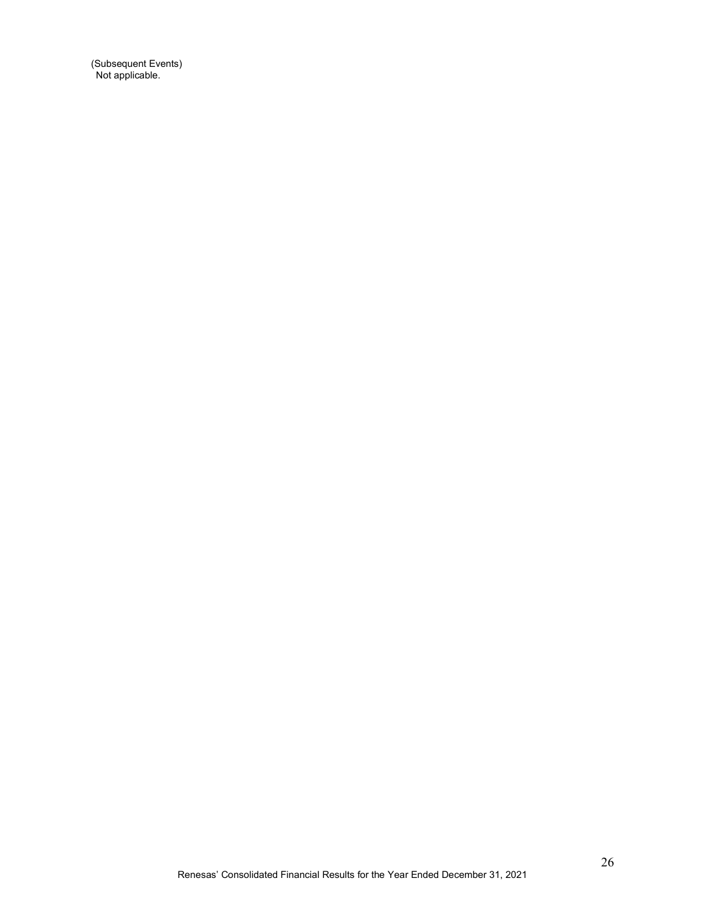(Subsequent Events) Not applicable.